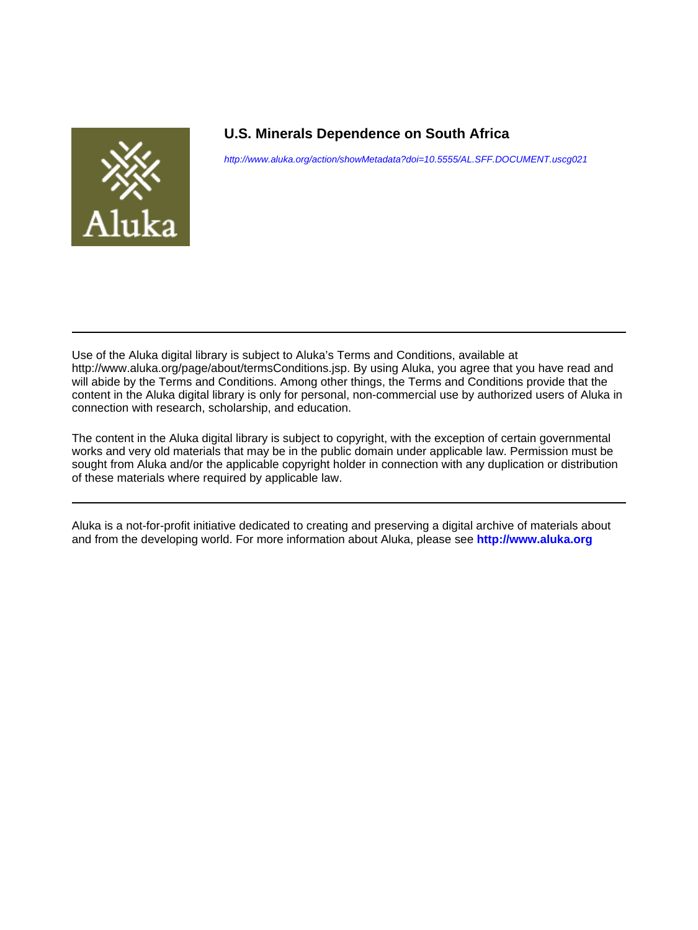

## **U.S. Minerals Dependence on South Africa**

<http://www.aluka.org/action/showMetadata?doi=10.5555/AL.SFF.DOCUMENT.uscg021>

Use of the Aluka digital library is subject to Aluka's Terms and Conditions, available at http://www.aluka.org/page/about/termsConditions.jsp. By using Aluka, you agree that you have read and will abide by the Terms and Conditions. Among other things, the Terms and Conditions provide that the content in the Aluka digital library is only for personal, non-commercial use by authorized users of Aluka in connection with research, scholarship, and education.

The content in the Aluka digital library is subject to copyright, with the exception of certain governmental works and very old materials that may be in the public domain under applicable law. Permission must be sought from Aluka and/or the applicable copyright holder in connection with any duplication or distribution of these materials where required by applicable law.

Aluka is a not-for-profit initiative dedicated to creating and preserving a digital archive of materials about and from the developing world. For more information about Aluka, please see **<http://www.aluka.org>**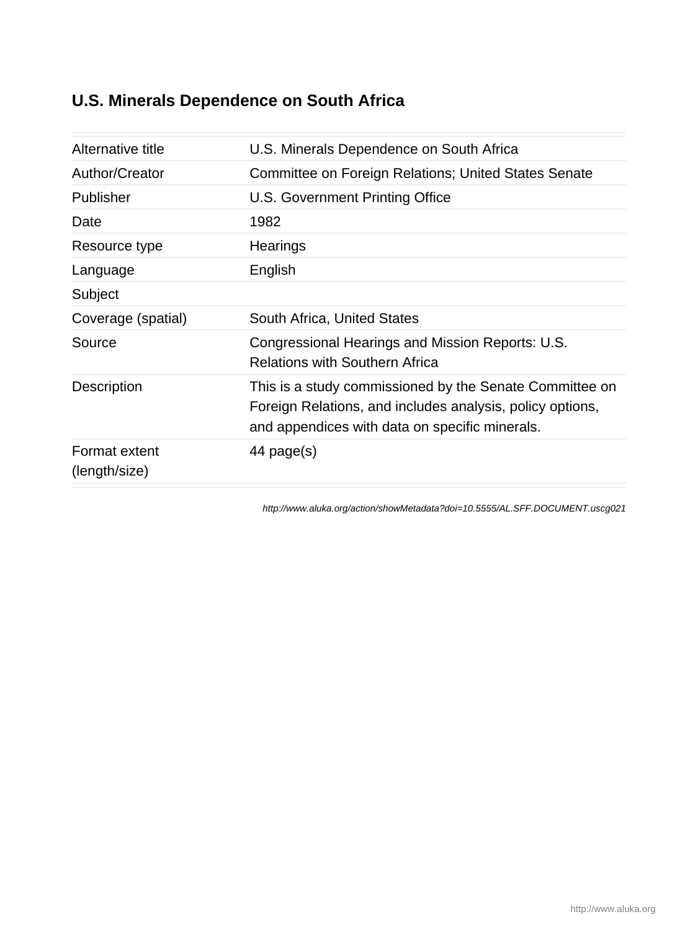# **U.S. Minerals Dependence on South Africa**

| Alternative title              | U.S. Minerals Dependence on South Africa                                                                                                                               |
|--------------------------------|------------------------------------------------------------------------------------------------------------------------------------------------------------------------|
| Author/Creator                 | Committee on Foreign Relations; United States Senate                                                                                                                   |
| Publisher                      | U.S. Government Printing Office                                                                                                                                        |
| Date                           | 1982                                                                                                                                                                   |
| Resource type                  | Hearings                                                                                                                                                               |
| Language                       | English                                                                                                                                                                |
| Subject                        |                                                                                                                                                                        |
| Coverage (spatial)             | South Africa, United States                                                                                                                                            |
| Source                         | Congressional Hearings and Mission Reports: U.S.<br><b>Relations with Southern Africa</b>                                                                              |
| Description                    | This is a study commissioned by the Senate Committee on<br>Foreign Relations, and includes analysis, policy options,<br>and appendices with data on specific minerals. |
| Format extent<br>(length/size) | 44 page(s)                                                                                                                                                             |

<http://www.aluka.org/action/showMetadata?doi=10.5555/AL.SFF.DOCUMENT.uscg021>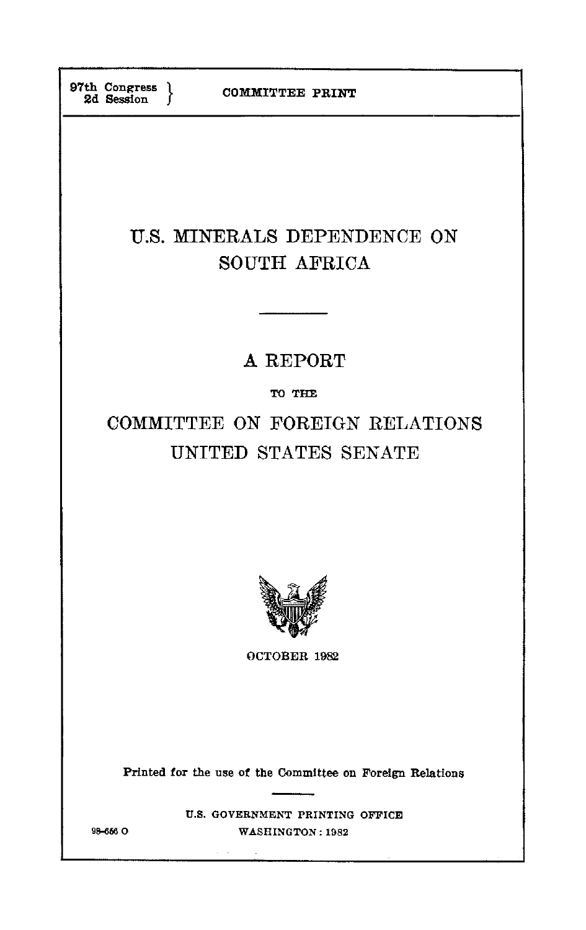# **U.S.** MINERALS **DEPENDENCE ON SOUTH** AFRICA

# **A** REPORT

## TO **THE**

# COMMITTEE **ON FOREIGN RELATIONS** UNITED **STATES SENATE**



OCTOBER **1982** 

Printed for the use of the Committee on Foreign Relations

**U.S. GOVERNMENT PRINTING OFFICE 98-6 0 WASHINGTON: 1982**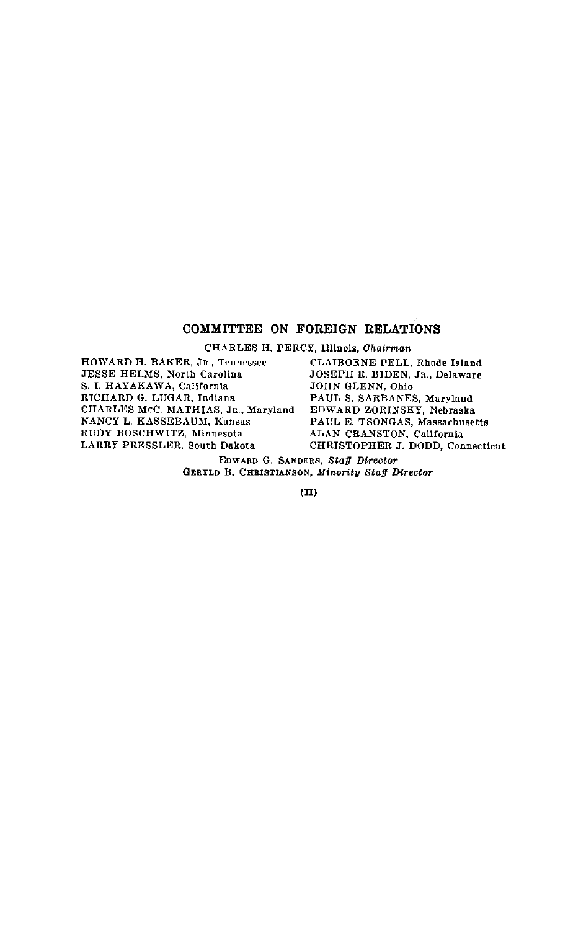## COMMITTEE **ON** FOREIGN **RELATIONS**

CHARLES **H.** PERCY, Illinois, *Chairman*

HOWARD H. BAKER, JR., Tennessee **JESSE** HELMS, North Carolina S. **I.** HAYAKAWA, California RICHARD G. LUGAR, Indiana CHARLES McC. MATHIAS, JR., Maryland NANCY L. KASSEBAUM, Kansas RUDY BOSCHWITZ, Minnesota LARRY PRESSLER, South Dakota

CLAIBORNE PELL, Rhode Island JOSEPH R. BIDEN, JR., Delaware JOHN GLENN, Ohio PAUL S. SARBANES, Maryland EDWARD ZORINSKY, Nebraska PAUL E. TSONGAS, Massachusetts ALAN CRANSTON, California CHRISTOPHER **J.** DODD, Connecticut

EDWARD **G. SANDERS,** *Staff Director*  GERYLD B. **CHRISTIANSON,** *Minority Staff Director* 

**(II)**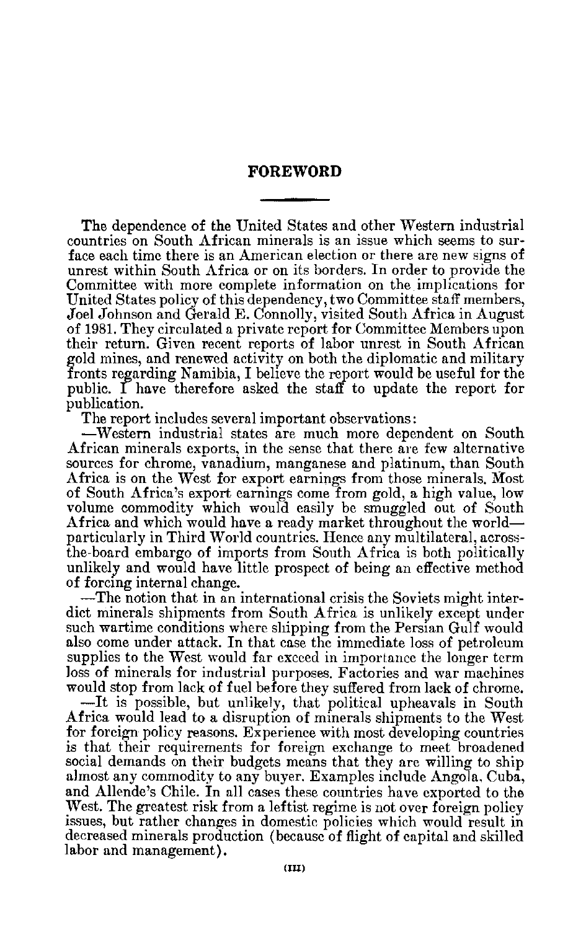## **FOREWORD**

The dependence of the United States and other Western industrial countries on South African minerals is an issue which seems to sur face each time there is an American election or there are new signs of unrest within South Africa or on its borders. In order to provide the Committee with more complete information on the implications for United States policy of this dependency, two Committee staff members, Joel Johnson and Gerald E. Connolly, visited South Africa in August of 1981. They circulated a private report for Committee Members upon their return. Given recent reports of labor unrest in South African gold mines, and renewed activity on both the diplomatic and military fronts regarding Namibia, I believe the report would be useful for the public. I have therefore asked the staff to update the report for publication.

The report includes several important observations:

-Western industrial states are much more dependent on South African minerals exports, in the sense that there are few alternative sources for chrome, vanadium, manganese and platinum, than South Africa is on the West for export earnings from those minerals. Most of South Africa's export earnings come from gold, a high value, low volume commodity which would easily be smuggled out of South Africa and which would have a ready market throughout the world particularly in Third World countries. Hence any multilateral, across the-board embargo of imports from South Africa is both politically unlikely and would have little prospect of being an effective method of forcing internal change.

-The notion that in an international crisis the Soviets might inter dict minerals shipments from South Africa is unlikely except under such wartime conditions where shipping from the Persian Gulf would also come under attack. In that case the immediate loss of petroleum supplies to the West would far exceed in importance the longer term loss of minerals for industrial purposes. Factories and war machines would stop from lack of fuel before they suffered from lack of chrome.

-It is possible, but unlikely, that political upheavals in South Africa would lead to a disruption of minerals shipments to the West for foreign policy reasons. Experience with most developing countries is that their requirements for foreign exchange to meet broadened social demands on their budgets means that they are willing to ship almost any commodity to any buyer. Examples include Angola, Cuba, and Allende's Chile. In all cases these countries have exported to the West. The greatest risk from a leftist regime is not over foreign policy issues, but rather changes in domestic policies which would result in decreased minerals production (because of flight of capital and skilled labor and management).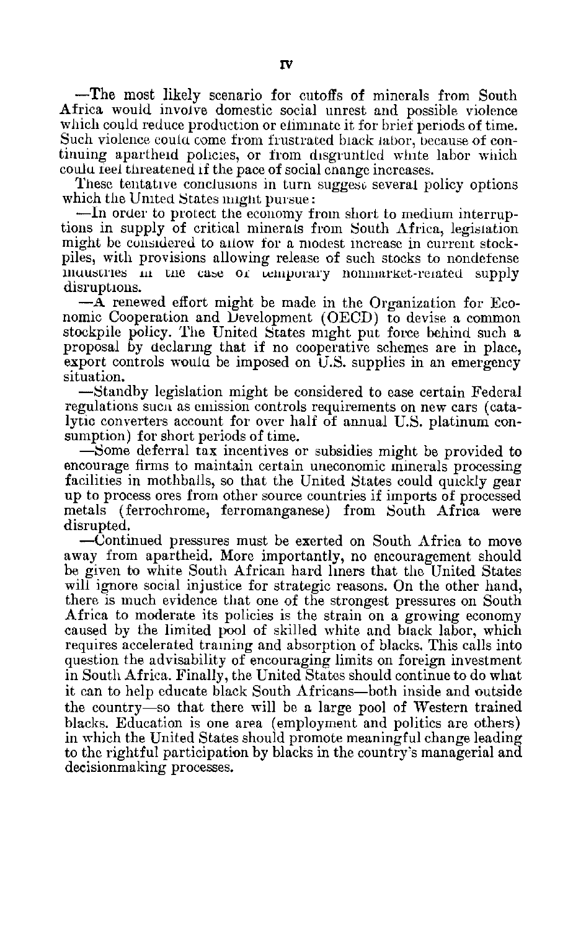-The most likely scenario for cutoffs of minerals from South Africa would involve domestic social unrest and possible violence which could reduce production or eliminate it for brief periods of time. Such violence could come from frustrated black labor, because of continuing apartheid policies, or from disgruntled white labor which coula feel threatened **if** the pace of social cnange increases.

These tentative conclusions in turn suggest several policy options which the United States **might** pursue:

-In order to protect the economy from short to medium interruptions in supply of critical minerals from South Africa, legislation might be considered to allow for a modest increase in current stock piles, with provisions allowing release of such stocks to nondefense imu6uries **i** tile cabe **Oi** ucnpurary noninarlet-related supply disruptions.

**-A** renewed effort might be made in the Organization for Eco nomic Cooperation and Development (OECD) to devise a common stockpile policy. The United States might put force behind such a proposal by declaring that if no cooperative schemes are in place, export controls would be imposed on U.S. supplies in an emergency situation.

-Standby legislation might be considered to ease certain Federal regulations sucn as emission controls requirements on new cars (cata lytic converters account for over half of annual U.S. platinum con sumption) for short periods of time.

-Some deferral tax incentives or subsidies might be provided to encourage firms to maintain certain uneconomic minerals processing facilities in mothballs, so that the United States could quickly gear up to process ores from other source countries if imports of processed metals (ferrochrome, ferromanganese) from South Africa were disrupted.

-Continued pressures must be exerted on South Africa to move away from apartheid. More importantly, no encouragement should be given to white South African hard liners that the United States will ignore social injustice for strategic reasons. On the other hand, there is much evidence that one of the strongest pressures on South Africa to moderate its policies is the strain on a growing economy caused by the limited pool of skilled white and biack labor, which requires accelerated training and absorption of blacks. This calls into question the advisability of encouraging limits on foreign investment in South Africa. Finally, the United States should continue to do what it can to help educate black South Africans-both inside and outside the country-so that there will be a large pool of Western trained blacks. Education is one area (employment and politics are others) in which the United States should promote meaningful change leading to the rightful participation by blacks in the country's managerial and decisionmaking processes.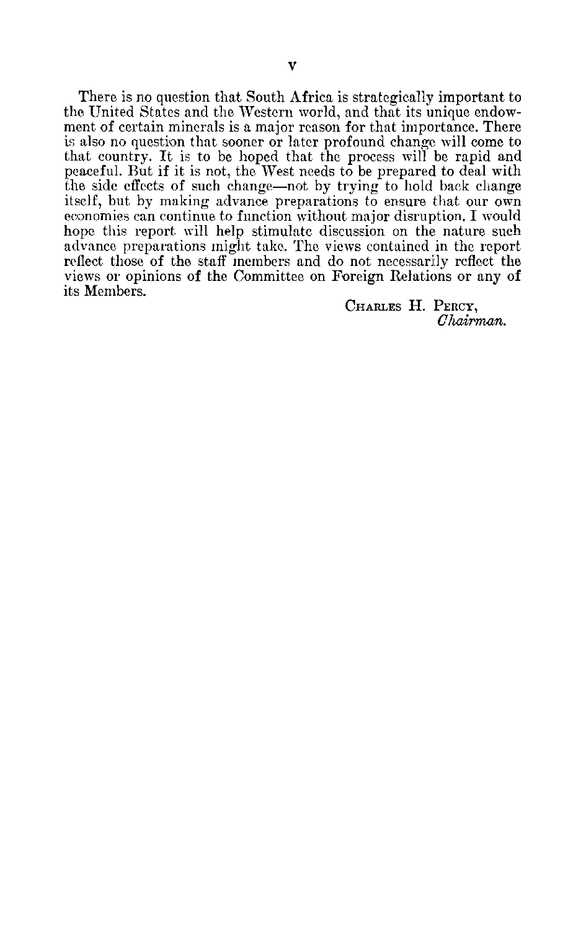There is no question that South Africa is strategically important to the United States and the Western world, and that its unique endow ment of certain minerals is a major reason for that importance. There is also no question that sooner or later profound change will come to that country. It is to be hoped that the process will be rapid and peaceful. But if it is not, the West needs to be prepared to deal with the side effects of such change-not by trying to hold back change itself, but by making advance preparations to ensure that our own economies can continue to function without major disruption. I would hope this report will help stimulate discussion on the nature such advance, preparations might take. The views contained in the report reflect those of the staff members and do not necessarily reflect the views or opinions of the Committee on Foreign Relations or any of its Members.

**CHARLES H. PERCY,**  *Chairman.*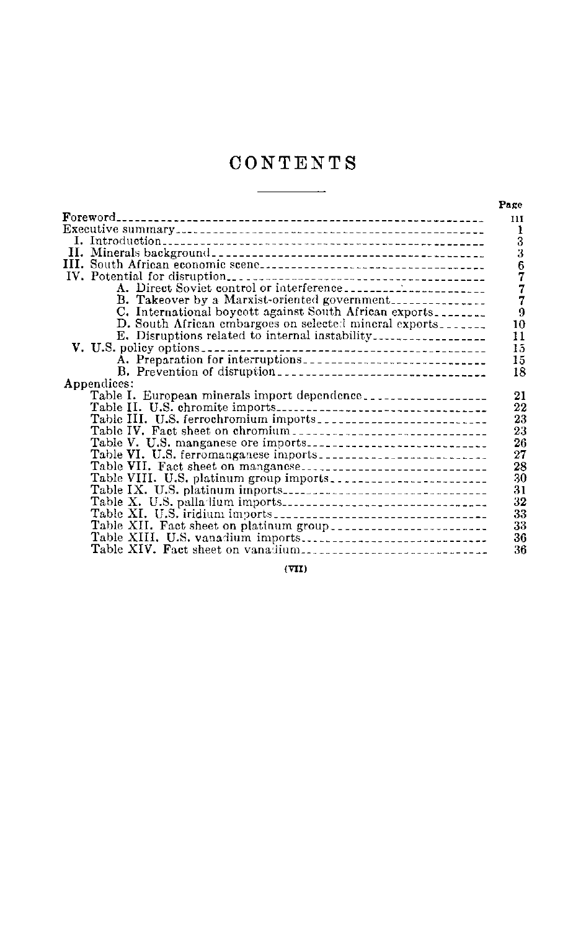# **CONTENTS**

 $\overline{a}$ 

| $\bf{Foreword}_{--}$                                    |  |
|---------------------------------------------------------|--|
|                                                         |  |
|                                                         |  |
|                                                         |  |
|                                                         |  |
|                                                         |  |
|                                                         |  |
| B. Takeover by a Marxist-oriented government            |  |
| C. International boycott against South African exports. |  |
| D. South African embargoes on selected mineral exports  |  |
|                                                         |  |
|                                                         |  |
|                                                         |  |
|                                                         |  |
| Appendices:                                             |  |
| Table I. European minerals import dependence            |  |
|                                                         |  |
|                                                         |  |
|                                                         |  |
|                                                         |  |
|                                                         |  |
| Table VII. Fact sheet on manganese                      |  |
|                                                         |  |
|                                                         |  |
|                                                         |  |
|                                                         |  |
|                                                         |  |
|                                                         |  |
| Table XIV. Fact sheet on vanadium                       |  |

**(VII)**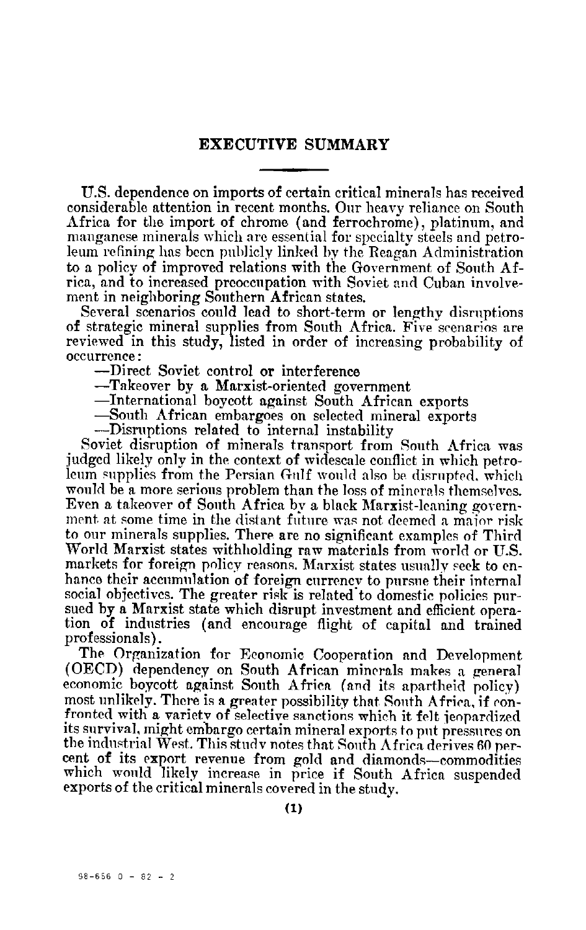## **EXECUTIVE SUMMARY**

U.S. dependence on imports of certain critical minerals has received considerable attention in recent months. Our heavy reliance on South Africa for the import of chrome (and ferrochrome), platinum, and manganese minerals which are essential for specialty steels and petro leum refining has been publicly linked by the Reagan Administration to a policy of improved relations with the Government of South Af rica, and to increased preoccupation with Soviet and Cuban involve ment in neighboring Southern African states.

Several scenarios could lead to short-term or lengthy disruptions of strategic mineral supplies from South Africa. Five scenarios are reviewed in this study, listed in order of increasing probability of occurrence:

-Direct Soviet control or interference

-Takeover by a Marxist-oriented government

-International boycott against South African exports

-South African embargoes on selected mineral exports

-Disruptions related to internal instability

Soviet disruption of minerals transport from South Africa was judged likely only in the context of widescale conflict in which petro leum supplies from the Persian Gulf would also be disrupted, which would be a more serious problem than the loss of minerals themselves. Even a takeover of South Africa by a black Marxist-leaning govern ment at some time in the distant future was not deemed a major risk to our minerals supplies. There are no significant examples of Third World Marxist states withholding raw materials from world or U.S. markets for foreign policy reasons. Marxist states usually seek to en hance their accumulation of foreign currency to pursue their internal social objectives. The greater risk is related'to domestic policies pur sued by a Marxist state which disrupt investment and efficient opera tion of industries (and encourage flight of capital and trained professionals).

The Organization for Economic Cooperation and Development (OECD) dependency on South African minerals makes a general economic boycott against South Africa (and its apartheid policy) most unlikely. There is a greater possibility that South Africa, if con fronted with a variety of selective sanctions which it felt jeopardized its survival, might embargo certain mineral exports to put pressures on the industrial West. This study notes that South Africa derives 60 per cent of its export revenue from gold and diamonds-commodities which would likely increase in price if South Africa suspended exports of the critical minerals covered in the study.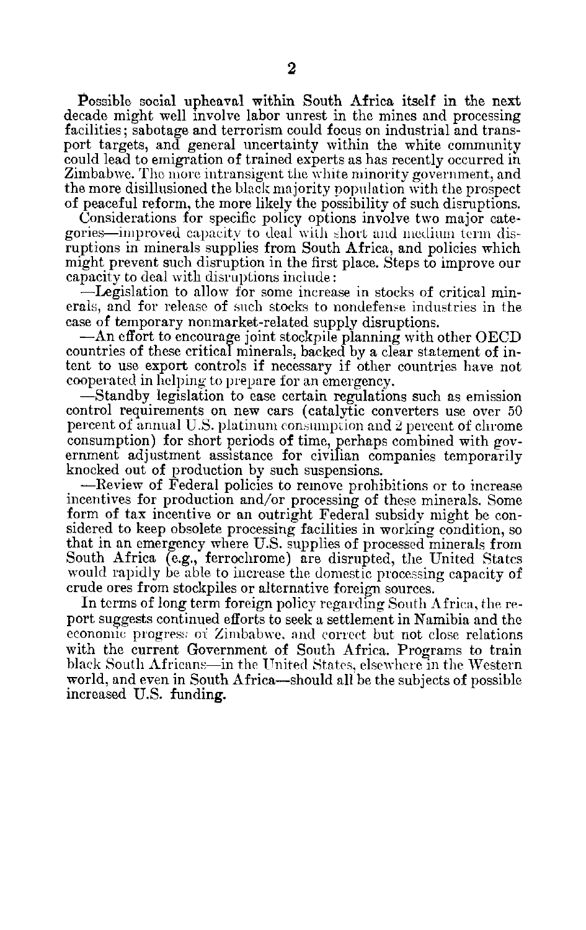Possible social upheaval within South Africa itself in the next decade might well involve labor unrest in the mines and processing facilities; sabotage and terrorism could focus on industrial and trans port targets, and general uncertainty within the white community could lead to emigration of trained experts as has recently occurred in Zimbabwe. The more intransigent the white minority government, and the more disillusioned the black majority population with the prospect of peaceful reform, the more likely the possibility of such disruptions.

Considerations for specific policy options involve two major cate gories—improved capacity to deal with short and medium term disruptions in minerals supplies from South Africa, and policies which might prevent such disruption in the first place. Steps to improve our capacity to deal with disruptions include:

-Legislation to allow for some increase in stocks of critical min erals, and for release of such stocks to nondefense industries in the case of temporary nonmarket-related supply disruptions.

-An effort to encourage joint stockpile planning with other OECD countries of these critical minerals, backed by a clear statement of in tent to use export controls if necessary if other countries have not cooperated in helping to prepare for an emergency.

-Standby legislation to ease certain regulations such as emission control requirements on new cars (catalytic converters use over 50 percent of annual U.S. platinum consumption and 2 percent of chrome consumption) for short periods of time, perhaps combined with gov ernment adjustment assistance for civilian companies temporarily knocked out of production by such suspensions.

-Review of Federal policies to remove prohibitions or to increase incentives for production and/or processing of these minerals. Some form of tax incentive or an outright Federal subsidy might be con sidered to keep obsolete processing facilities in working condition, so that in an emergency where U.S. supplies of processed minerals from South Africa (e.g., ferrochrome) are disrupted, the United States would rapidly be able to increase the domestic processing capacity of crude ores from stockpiles or alternative foreign sources.

In terms of long term foreign policy regarding South Africa, the re port suggests continued efforts to seek a settlement in Namibia and the economic progress of Zimbabwe, and correct but not close relations with the current Government of South Africa. Programs to train black South Africans-in the United States, elsewhere in the Western world, and even in South Africa—should all be the subjects of possible increased U.S. funding.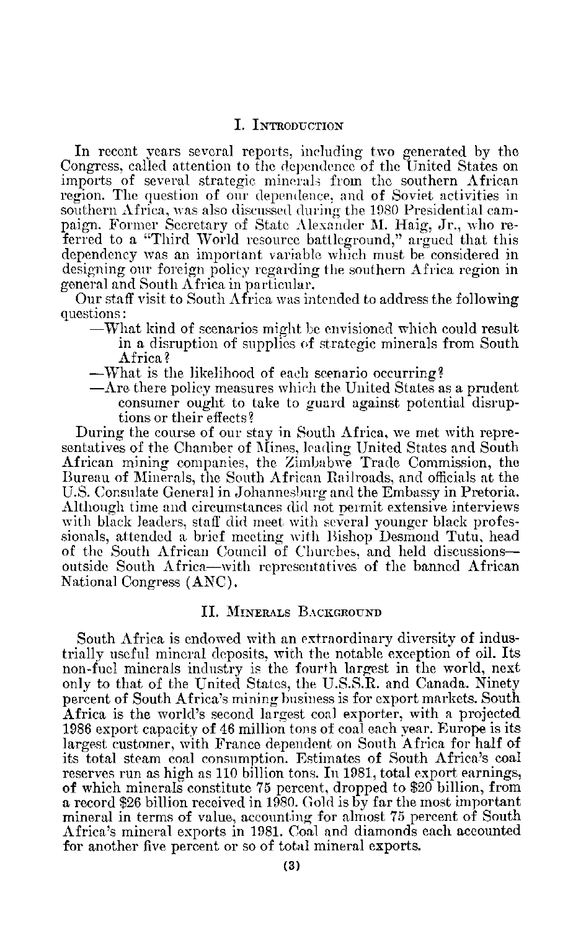## I. INTRODUCTION

In recent years several reports, including two generated by the Congress, called attention to the dependence of the United States on imports of several strategic minerals from the southern African region. The question of our dependence, and of Soviet activities in southern Africa, was also discussed during the 1980 Presidential cam paign. Former Secretary of State Alexander M. Haig, Jr., who re ferred to a "Third World resource battleground," argued that this dependency was an important variable which must be considered in designing our foreign policy regarding the southern Africa region in general and South Africa in particular.

Our staff visit to South Africa was intended to address the following questions:

- -What kind of scenarios might be envisioned which could result in a disruption of supplies of strategic minerals from South Africa?
- -What is the likelihood of each scenario occurring?
- $-\Lambda$ re there policy measures which the United States as a prudent consumer ought to take to guard against potential disrup tions or their effects?

During the course of our stay in South Africa, we met with repre sentatives of the Chamber of Mines, leading United States and South African mining companies, the Zimbabwe Trade Commission, the Bureau of Minerals, the South African Railroads, and officials at the U.S. Consulate General in Johannesburg and the Embassy in Pretoria. Although time and circumstances did not peimit extensive interviews with black leaders, staff did meet with several younger black professionals, attended a brief meeting with Bishop Desmond Tutu, head of the South African Council of Churches, and held discussions outside South Africa-with representatives of the banned African National Congress (ANC).

## **II.** MINERALS **BACKGIOUND**

South Africa is endowed with an extraordinary diversity of indus trially useful mineral deposits, with the notable exception of oil. Its non-fuel minerals industry is the fourth largest in the world, next only to that of the United States, the U.S.S.R. and Canada. Ninety percent of South Africa's mining business is for export markets. South Africa is the world's second largest coal exporter, with a projected 1986 export capacity of 46 million tons of coal each year. Europe is its largest customer, with France, dependent on South Africa for half of its total steam coal consumption. Estimates of South Africa's coal reserves run as high as 110 billion tons. In 1981, total export earnings, of which minerals constitute 75 percent, dropped to \$20 billion, from a record \$26 billion received in 1980. Gold is by far the most important mineral in terms of value, accounting for almost 75 percent of South Africa's mineral exports in 1981. Coal and diamonds each accounted for another five percent or so of total mineral exports.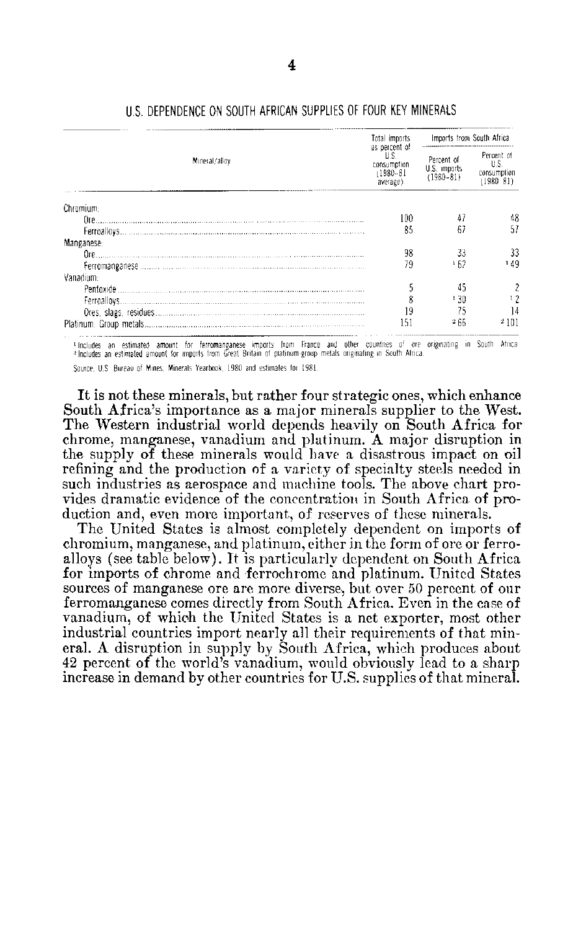|               | Total imports                                                     | Imports from South Africa               |                                                |
|---------------|-------------------------------------------------------------------|-----------------------------------------|------------------------------------------------|
| Mineral/alloy | as percent of<br>U.S.<br>consumption<br>$(1980 - 81)$<br>average) | Percent of<br>U.S. imports<br>(1980–81) | Percent of<br>U.S.<br>consumption<br>(1980–81) |
| Chromium:     |                                                                   |                                         |                                                |
| Ore.          | 100                                                               |                                         | 48                                             |
|               | 85                                                                | 67                                      | 51                                             |
| Manganese:    |                                                                   |                                         |                                                |
| Ore.          | 98                                                                | 33                                      | 33                                             |
|               | 79                                                                | ነ 62                                    | 149                                            |
| Vanadium:     |                                                                   |                                         |                                                |
|               |                                                                   |                                         |                                                |
|               |                                                                   | ' 30                                    |                                                |
|               | 19                                                                |                                         | 14                                             |
|               | 151                                                               | - 66                                    | 4101                                           |

## U.S. DEPENDENCE ON SOUTH AFRICAN SUPPLIES OF FOUR KEY MINERALS

tincludes an estimated amount for ferromanganese imports from France and other countries of ore originating in South Africa<br>Plecludes-an-estimated-amount-for-imports-from-Great-Britain-of-pastinism-group-metals-originating

Source, U.S. Bureau of Mines, Minerals Yearbook, 1980 and estimates for 1981.

It is not these minerals, but rather four strategic ones, which enhance South Africa's importance as a major minerals supplier to the West. The Western industrial world depends heavily on South Africa for chrome, manganese, vanadium and platinum. A major disruption in the supply of these minerals would have a disastrous impact on oil refining and the production of a variety of specialty steels needed in such industries as aerospace and machine tools. The above chart provides dramatic evidence of the concentration in South Africa of production and, even more important, of reserves of these minerals.

The United States is almost completely dependent on imports of chromium, manganese, and platinum, either in the form of ore or ferroalloys (see table below). It is particularly dependent on South Africa for imports of chrome and ferrochrome and platinum. United States sources of manganese ore are more diverse, but over 50 percent of our ferromanganese comes directly from South Africa. Even in the case of vanadium, of which the United States is a net exporter, most other industrial countries import nearly all their requirements of that mineral. A disruption in supply by South Africa, which produces about 42 percent of the world's vanadium, would obviously lead to a sharp increase in demand by other countries for U.S. supplies of that mineral.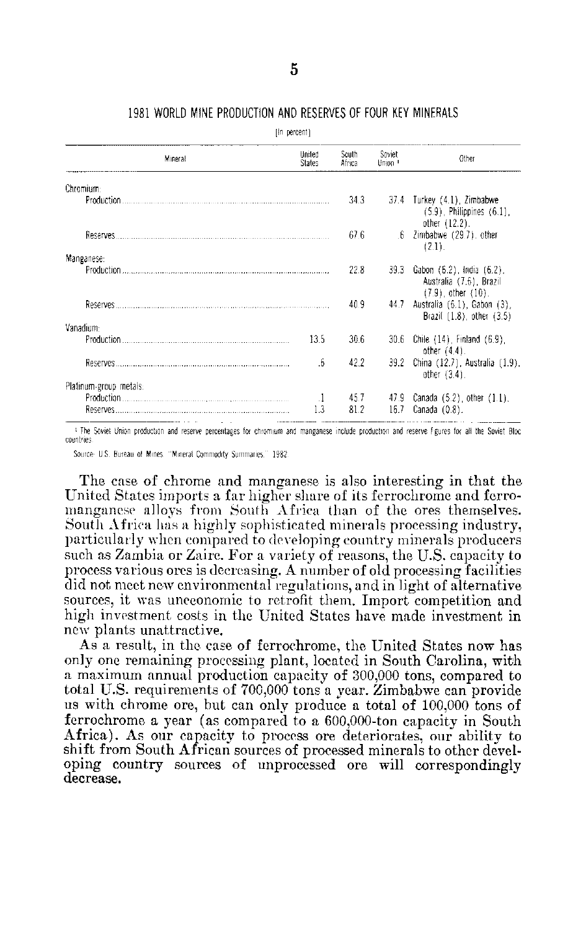## **1981** WORLD **MINE PRODUCTION AND** RESERVES OF FOUR KEY **MINERALS**

[in percent]

|           | Mineral                | United<br><b>States</b> | South<br>Africa | Soviet<br>Union <sup>1</sup> | Other                                                                                   |
|-----------|------------------------|-------------------------|-----------------|------------------------------|-----------------------------------------------------------------------------------------|
|           | Chromium:              |                         |                 |                              |                                                                                         |
|           | Production.            |                         | 34.3            |                              | $37.4$ Turkey $(4.1)$ , Zimbabwe<br>$(5.9)$ , Philippines $(6.1)$ ,<br>other $(12.2)$ . |
|           | Reserves               |                         | 67.6            | .6                           | Zimbabwe (29.7) other<br>(2.1).                                                         |
|           | Manganese:             |                         | 22.8            | 39.3                         |                                                                                         |
|           |                        |                         |                 |                              | - Gabon (6.2), India (6.2),<br>Australia (7.6), Brazil<br>$(7.9)$ , other $(10)$ .      |
|           |                        |                         | 40.9            |                              | 44.7 Australia (6.1), Gabon (3),<br>Brazil (1.8), other (3.5)                           |
| Vanadium: |                        |                         |                 |                              |                                                                                         |
|           |                        | 13.5                    | 30.6            |                              | 30.6 Chile (14) Finland (6.9)<br>other $(4.4)$ .                                        |
|           | Reserves               | 6                       | 42.2            |                              | 39.2 China (12.7), Australia (1.9),<br>other $(3.4)$ .                                  |
|           | Platinum-group metals: |                         |                 |                              |                                                                                         |
|           |                        | $\cdot$                 | 45.7            |                              | 47.9 Canada $(5.2)$ , other $(1.1)$ .                                                   |
|           | Reserves               | 1.3                     | 81.2            | 16.7                         | Canada (0.8).                                                                           |

<sup>1</sup> The Soviet Union production and reserve percentages for chromium and manganese include production and reserve figures for all the Soviet Bloc countries

Source **US.** Bureau of Mines 'Mineral Commodity Summaries **1982** 

The case of chrome and manganese is also interesting in that the United States imports a far higher share of its ferrochrome and ferro manganese alloys from South Africa than of the ores themselves. South Africa has a highly sophisticated minerals processing industry, particularly when compared to developing country minerals producers such as Zambia or Zaire. For a variety of reasons, the U.S. capacity to process various ores is decreasing. A number of old processing facilities did not meet new environmental regulations, and in light of alternative sources, it was uneconomic to retrofit them. Import competition and high investment costs in the United States have made investment in new plants unattractive.

As a result, in the case of ferrochrome, the United States now has only one remaining processing plant, located in South Carolina, with a maximum annual production capacity of 300,000 tons, compared to total U.S. requirements of 700,000 tons a year. Zimbabwe can provide us with chrome ore, but can only produce a total of 100,000 tons of ferrochrome a year (as compared to a 600,000-ton capacity in South Africa). As our capacity to process ore deteriorates, our ability to shift from South African sources of processed minerals to other devel oping country sources of unprocessed ore will correspondingly decrease.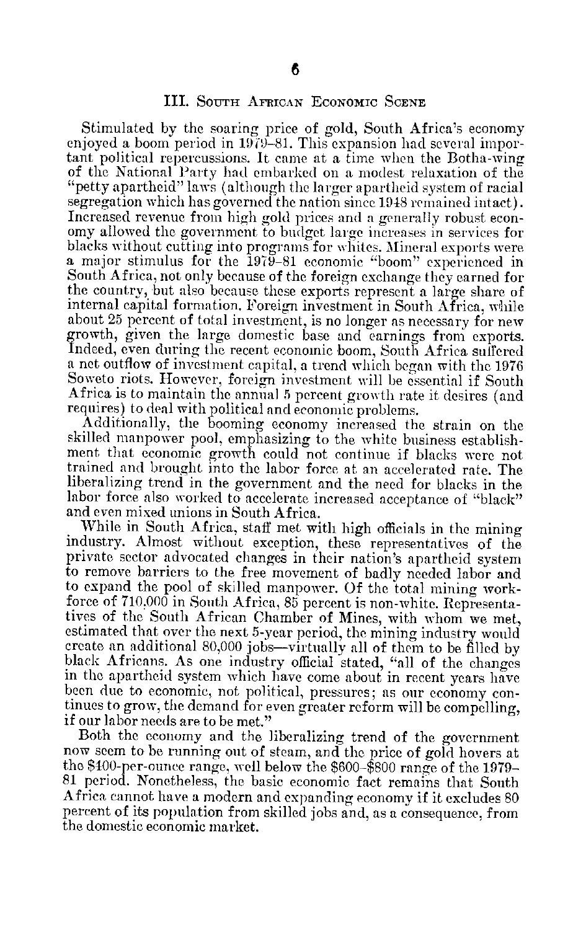## **III.** SOUTH AFRICAN ECONOMIC SCENE

Stimulated by the soaring price of gold, South Africa's economy enjoyed a boom period in 1979–81. This expansion had several impor tant political repercussions. It came at a time when the Botha-wing "petty apartheid" laws (although the larger apartheid system of racial segregation which has governed the nation since 1948 remained intact). Increased revenue from high gold prices and a generally robust econ omy allowed the government to budget large increases in services for blacks without cutting into programs for whites. Mineral exports were a major stimulus for the 1979-81 economic "boom" experienced in South Africa, not only because of the foreign exchange they earned for the country, but also because these exports represent a large share of internal capital formation. Foreign investment in South Africa, while about 25 percent of total investment, is no longer as necessary for new growth, given the large domestic base and earnings from exports. Indeed, even during the recent economic boom, South Africa suffered a net outflow of investment capital. a trend which began with the 1976 Soweto riots. However, foreign investment will be essential if South Africa is to maintain the annual 5 percent growth rate it desires (and requires) to deal with political and economic problems.

Additionally, the booming economy increased the strain on the skilled manpower pool, emphasizing to the white business establish ment that economic growth could not continue if blacks were not trained and brought into the labor force at an accelerated rate. The liberalizing trend in the government and the need for blacks in the labor force also worked to accelerate increased acceptance of "black" and even mixed unions in South Africa.

While in South Africa, staff met with high officials in the mining industry. Almost without exception, these representatives of the private sector advocated changes in their nation's apartheid system to remove barriers to the free movement of badly needed labor and to expand the pool of skilled manpower. Of the total mining work force of 710.000 in South Africa, 85 percent is non-white. Representa tives of the South African Chamber of Mines, with whom we met, estimated that over the next 5-year period, the mining industry would create an additional 80,000 jobs-virtually all of them to be filled by black Africans. As one industry official stated, "all of the changes in the apartheid system which have come about in recent years have been due to economic, not political, pressures; as our economy con tinues to grow, the demand for even greater reform will be compelling, if our labor needs are to be met."

Both the economy and the liberalizing trend of the government now seem to be running out of steam, and the price of gold hovers at the \$400-per-ounce range, well below the \$600-\$800 range of the 1979 81 period. Nonetheless, the basic economic fact remains that South Africa cannot have a modern and expanding economy if it excludes 80 percent of its population from skilled jobs and, as a consequence, from the domestic economic market.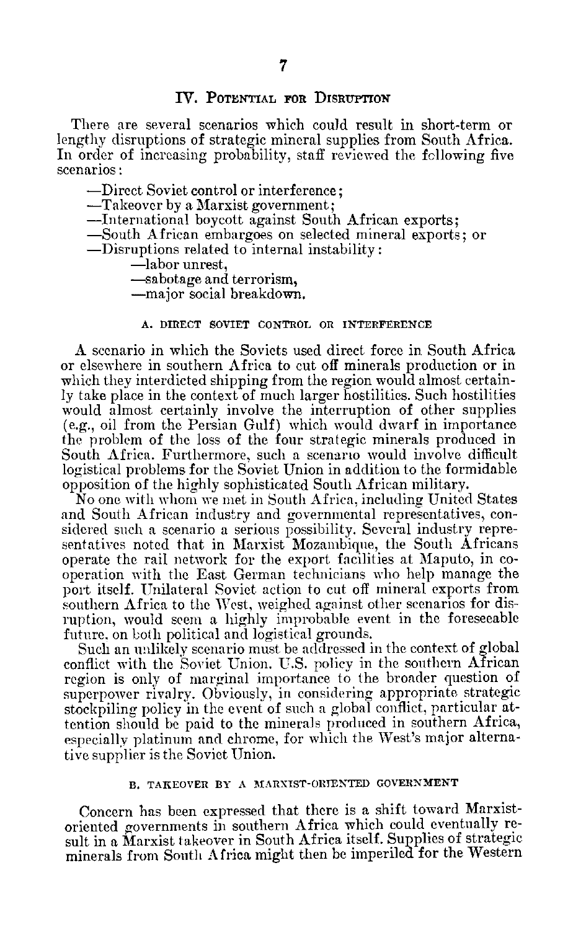## **IV. POTENTIAL FOR DISRUPTION**

There are several scenarios which could result in short-term or lengthy disruptions of strategic mineral supplies from South Africa. In order of increasing probability, staff reviewed the following five scenarios:

-Direct Soviet control or interference;

-Takeover by a Marxist government;

-International boycott against South African exports;

-South African embargoes on selected mineral exports; or

-Disruptions related to internal instability:

-labor unrest,

-sabotage and terrorism,

-major social breakdown.

## **A.** DIRECT SOVIET CONTROL OR INTERFERENCE

A scenario in which the Soviets used direct force in South Africa or elsewhere in southern Africa to cut off minerals production or in which they interdicted shipping from the region would almost certainly take place in the context of much larger hostilities. Such hostilities would almost certainly involve the interruption of other supplies (e.g., oil from the Persian Gulf) which would dwarf in importance the problem of the loss of the four strategic minerals produced in South Africa. Furthermore, such a scenario would involve difficult logistical problems for the Soviet Union in addition to the formidable opposition of the highly sophisticated South African military.

No one with whom we met in South Africa, including United States and South African industry and governmental representatives, con sidered such a scenario a serious possibility. Several industry repre sentatives noted that in Marxist Mozambique, the South Africans operate the rail network for the export facilities at Maputo, in co operation with the East German technicians who help manage the port itself. Unilateral Soviet action to cut off mineral exports from southern Africa to the West, weighed against other scenarios for dis ruption, would seem a highly improbable event in the foreseeable future, on both political and logistical grounds.

Such an unlikely scenario must be addressed in the context of global conflict with the Soviet Union. U.S. policy in the southern African region is only of marginal importance to the broader question of superpower rivalry. Obviously, in considering appropriate strategic stockpiling policy in the event of such a global conflict, particular attention should be paid to the minerals produced in southern Africa, especially platinum and chrome, for which the West's major alterna tive supplier is the Soviet Union.

## B. TAKEOVER BY A MARXIST-ORIENTED GOVERNMENT

Concern has been expressed that there is a shift toward Marxist oriented governments in southern Africa which could eventually re sult in a Marxist takeover in South Africa itself. Supplies of strategic minerals from South **A** frica might then be imperiled for the Western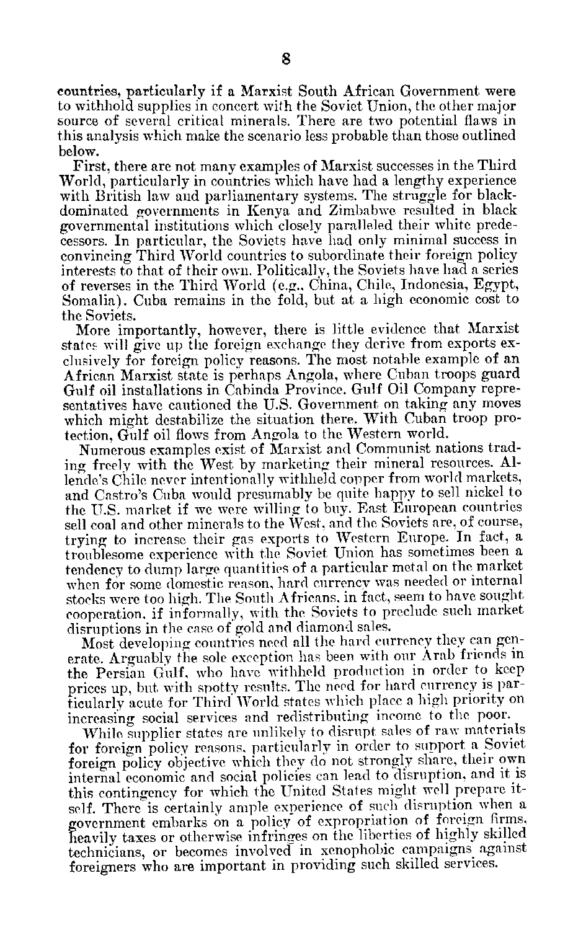countries, particularly if a Marxist South African Government were to withhold supplies in concert with the Soviet Union, the other major source of several critical minerals. There are two potential flaws in this analysis which make the scenario less probable than those outlined below.

First, there are not many examples of Marxist successes in the Third World, particularly in countries which have had a lengthy experience with British law and parliamentary systems. The struggle for blackdominated governments in Kenya and Zimbabwe resulted in black governmental institutions which closely paralleled their white prede cessors. In particular, the Soviets have had only minimal success in convincing Third World countries to subordinate their foreign policy interests to that of their own. Politically, the Soviets have had a series of reverses in the Third World (e.g., China, Chile, Indonesia, Egypt, Somalia). Cuba remains in the fold, but at a high economic cost to the Soviets.

More importantly, however, there is little evidence that Marxist states will give up the foreign exchange they derive from exports ex clusively for foreign policy reasons. The most notable example of an African Marxist state is perhaps Angola, where Cuban troops guard Gulf oil installations in Cabinda Province. Gulf Oil Company repre sentatives have cautioned the U.S. Government on taking any moves which might destabilize the situation there. With Cuban troop pro tection, Gulf oil flows from Angola to the Western world.

Numerous examples exist of Marxist and Communist nations trad ing freely with the West by marketing their mineral resources. **Al** lende's Chile never intentionally withheld copper from world markets, and Castro's Cuba would presumably be quite happy to sell nickel to the U.S. market if we were willing to buy. East European countries sell coal and other minerals to the West, and the Soviets are, of course, trying to increase their gas exports to Western Europe. In fact, a troublesome experience with the Soviet Union has sometimes been a tendency to dump large quantities of a particular metal on the market when for some domestic reason, hard currency was needed or internal stocks were too high. The South Africans, in fact, seem to have sought cooperation. if informally, with the Soviets to preclude such market disruptions in the case of gold and diamond sales.

Most developing countries need all the hard currency they can gen erate. Arguably the sole exception has been with our Arab friends in the Persian Gulf, who have withheld production in order to keep prices up, but with spotty results. The need for hard currency is par ticularly acute for Third World states which place a high priority on increasing social services and redistributing income to the poor.

While supplier states are unlikely to disrupt sales of raw materials for foreign policy reasons, particularly in order to support a Soviet foreign policy objective which they do not strongly share, their own internal economic and social policies can lead to disruption, and it is this contingency for which the United States might well prepare it self. There is certainly ample experience of such disruption when a government embarks on a policy of expropriation of foreign firms, heavily taxes or otherwise infringes on the liberties of highly skilled technicians, or becomes involved in xenophobic campaigns against foreigners who are important in providing such skilled services.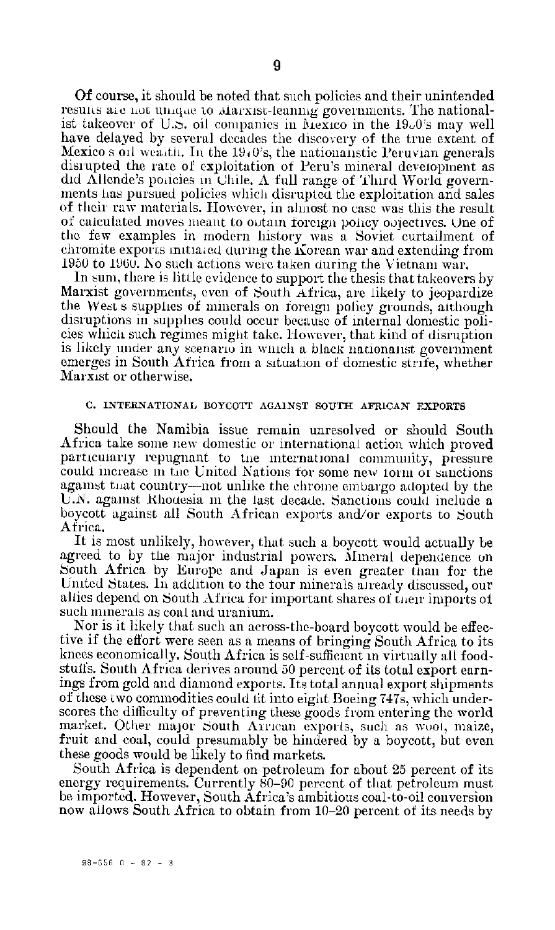Of course, it should be noted that such policies and their unintended results are not unique to Alarxist-leaning governments. The nationalist takeover of U.S. oil companies in Mexico in the 1900's may well have delayed by several decades the discovery of the true extent of Mexico s oil wealth. In the 19<sub>0</sub>0's, the nationalistic Peruvian generals disrupted the rate of exploitation of Peru's mineral development as did Allende's policies in Chile. A full range of Third World governments has pursued policies which disrupted the exploitation and sales of their raw materials. However, in almost no case was this the result of calculated moves meant to ootam foreign policy oojectives. One of the few examples in modern history was a Soviet curtailment of chromite exports initiaed during the Korean war and extending from 1950 to 1960. No such actions were taken during the Vietnam war.

In sum, there is little evidence to support the thesis that takeovers by Marxist governments, even of South Africa, are likely to jeopardize the West's supplies of minerals on foreign policy grounds, although disruptions in supplies could occur because of internal domestic poli cies whicn such regimes might take. However, that kind of disruption is likely under any scenario in wich a black nationalist government emerges in South Africa from a situation of domestic strife, whether Marxist or otherwise.

## **C.** INTERNATIONAL BOYCOTT AGAINST **SOUTH AFRICAN** EXPORTS

Should the Namibia issue remain unresolved or should South Africa take some new domestic or international action which proved particularly repugnant to the international community, pressure could increase in the United Nations for some new form of sanctions against that country—not unlike the chrome embargo adopted by the U.N. against Khouesia in the last decade. Sanctions could include a boycott against all South African exports and/or exports to South Africa.

It is most unlikely, however, that such a boycott would actually be agreed to by the major industrial powers. Mineral dependence on South Africa by Europe and Japan is even greater than for the United States. In addition to the four minerals already discussed, our allies depend on South Africa for important shares of their imports of such minerals as coal and uranium.

Nor is it likely that such an across-the-board boycott would be effec tive if the effort were seen as a means of bringing South Africa to its knees economically. South Africa is self-sufficient in virtually all food stuffs. South Africa derives around 50 percent of its total export earn ings from gold and diamond exports. Its total annual export shipments of these two commodities could fit into eight Boeing 747s, which underscores the difficulty of preventing these goods from entering the world market. Other major South Arrican exports, such as woot, maize, fruit and coal, could presumably be hindered by a boycott, but even these goods would be likely to find markets.

South Africa is dependent on petroleum for about 25 percent of its energy requirements. Currently 80-90 percent of that petroleum must be imported. However, South Africa's ambitious coal-to-oil conversion now allows South Africa to obtain from 10-20 percent of its needs by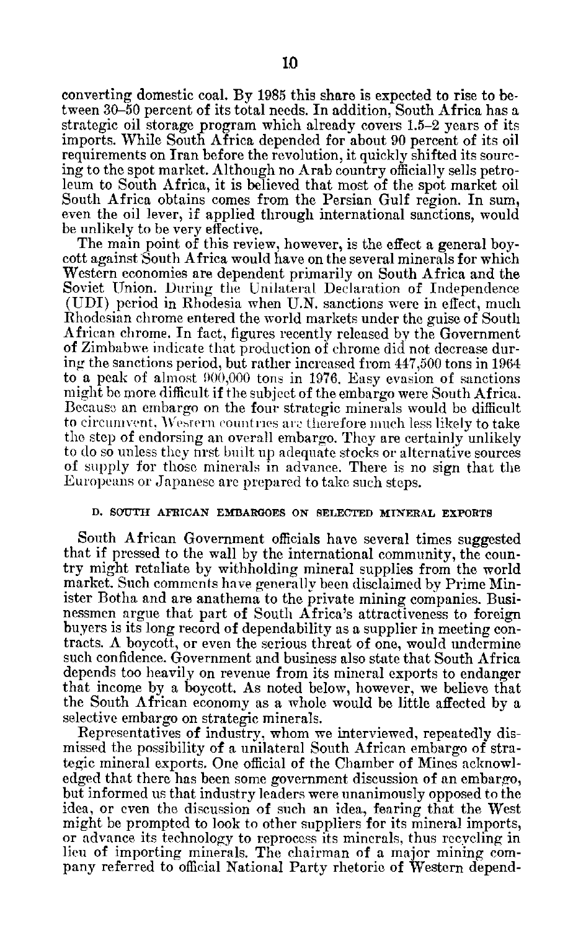converting domestic coal. By 1985 this share is expected to rise to between 30-50 percent of its total needs. In addition, South Africa has a strategic oil storage program which already covers 1.5-2 years of its imports. While South Africa depended for about 90 percent of its oil requirements on Iran before the revolution, it quickly shifted its sourcing to the spot market. Although no Arab country officially sells petro leum to South Africa, it is believed that most of the spot market oil South Africa obtains comes from the Persian Gulf region. In sum, even the oil lever, if applied through international sanctions, would be unlikely to be very effective.

The main point of this review, however, is the effect a general boycott against South Africa would have on the several minerals for which Western economies are dependent primarily on South Africa and the Soviet Union. During the Unilateral Declaration of Independence (UDI) period in Rhodesia when U.N. sanctions were in effect, much Rhodesian chrome entered the world markets under the guise of South African chrome. In fact, figures recently released by the Government of Zimbabwe indicate that production of chrome did not decrease dur ing the sanctions period, but rather increased from 447,500 tons in 1964 to a peak of almost 900,000 tons in 1976. Easy evasion of sanctions might be more difficult if the subject of the embargo were South Africa. Becausc an embargo on the four strategic minerals would be difficult to circumvent, Western countries are therefore much less likely to take the step of endorsing an overall embargo. They are certainly unlikely to do so unless they nrst built up adequate stocks or alternative sources of supply for those minerals in advance. There is no sign that the Europeans or Japanese are prepared to take such steps.

## **D. SOUTH AFRICAN EMBARGOES ON SELECTED MINERAL EXPORTS**

South African Government officials have several times suggested that if pressed to the wall by the international community, the coun try might retaliate by withholding mineral supplies from the world market. Such comments have generally been disclaimed by Prime Min ister Botha and are anathema to the private mining companies. Busi nessmen argue that part of South Africa's attractiveness to foreign buyers is its long record of dependability as a supplier in meeting con tracts.  $\Lambda$  boycott, or even the serious threat of one, would undermine such confidence. Government and business also state that South Africa depends too heavily on revenue from its mineral exports to endanger that income by a boycott. As noted below, however, we believe that the South African economy as a whole would be little affected by a selective embargo on strategic minerals.

Representatives of industry, whom we interviewed, repeatedly dis missed the possibility of a unilateral South African embargo of stra tegic mineral exports. One official of the Chamber of Mines acknowl edged that there has been some government discussion of an embargo, but informed us that industry leaders were unanimously opposed to the idea, or even the discussion of such an idea, fearing that the West might be prompted to look to other suppliers for its mineral imports, or advance its technology to reprocess its minerals, thus recycling in lieu of importing minerals. The chairman of a major mining com pany referred to official National Party rhetoric of Western depend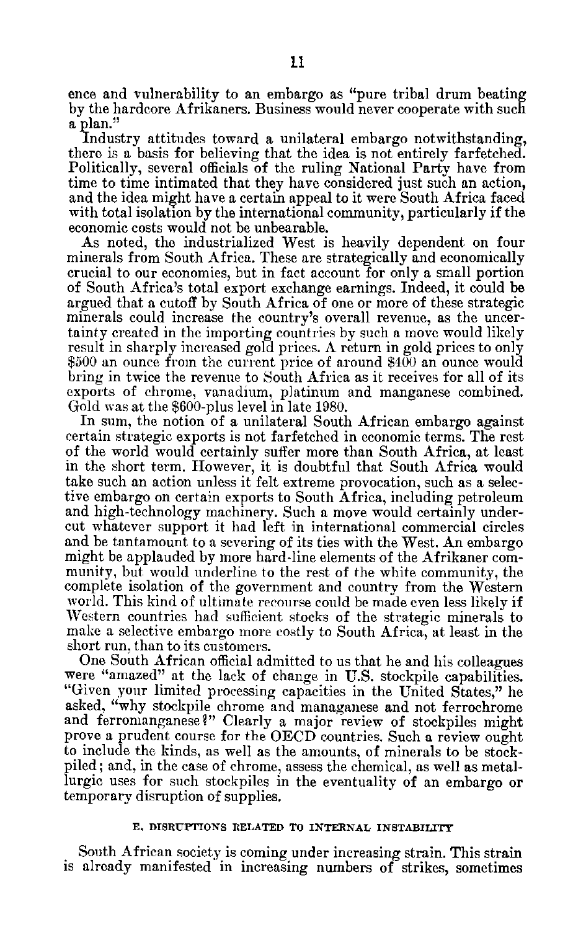ence and vulnerability to an embargo as "pure tribal drum beating by the hardcore Afrikaners. Business would never cooperate with such a plan."

Industry attitudes toward a unilateral embargo notwithstanding, there is a basis for believing that the idea is not entirely farfetched. Politically, several officials of the ruling National Party have from time to time intimated that they have considered just such an action, and the idea might have a certain appeal to it were South Africa faced with total isolation by the international community, particularly if the economic costs would not be unbearable.

As noted, the industrialized West is heavily dependent on four minerals from South Africa. These are strategically and economically crucial to our economies, but in fact account for only a small portion of South Africa's total export exchange earnings. Indeed, it could be argued that a cutoff by South Africa of one or more of these strategic minerals could increase the country's overall revenue, as the uncer tainty created in the importing countries by such a move would likely result in sharply increased gold prices. A return in gold prices to only \$500 an ounce from the current price of around \$400 an ounce would bring in twice the revenue to South Africa as it receives for all of its exports of chrome, vanadium, platinum and manganese combined. Gold was at the \$600-plus level in late 1980.

In sum, the notion of a unilateral South African embargo against certain strategic exports is not farfetched in economic terms. The rest of the world would certainly suffer more than South Africa, at least in the short term. However, it is doubtful that South Africa would take such an action unless it felt extreme provocation, such as a selec tive embargo on certain exports to South Africa, including petroleum and high-technology machinery. Such a move would certainly under cut whatever support it had left in international commercial circles and be tantamount to a severing of its ties with the West. An embargo might be applauded by more hard-line elements of the Afrikaner com munity, but would underline to the rest of the white community, the complete isolation of the government and country from the Western world. This kind of ultimate recourse could be made even less likely if Western countries had sufficient stocks of the strategic minerals to make a selective embargo more costly to South Africa, at least in the short run, than to its customers.

One South African official admitted to us that he and his colleagues were "amazed" at the lack of change in U.S. stockpile capabilities. "Given your limited processing capacities in the United States," he asked, "why stockpile chrome and managanese and not ferrochrome and ferromanganese?" Clearly a major review of stockpiles might prove a prudent course for the OECD countries. Such a review ought to include the kinds, as well as the amounts, of minerals to be stock piled; and, in the case of chrome, assess the chemical, as well as metal lurgic uses for such stockpiles in the eventuality of an embargo or temporary disruption of supplies.

## **E. DISRUPTIONS** RELATED TO **INTERNAL INSTABILITY**

South African society is coming under increasing strain. This strain is already manifested in increasing numbers of strikes, sometimes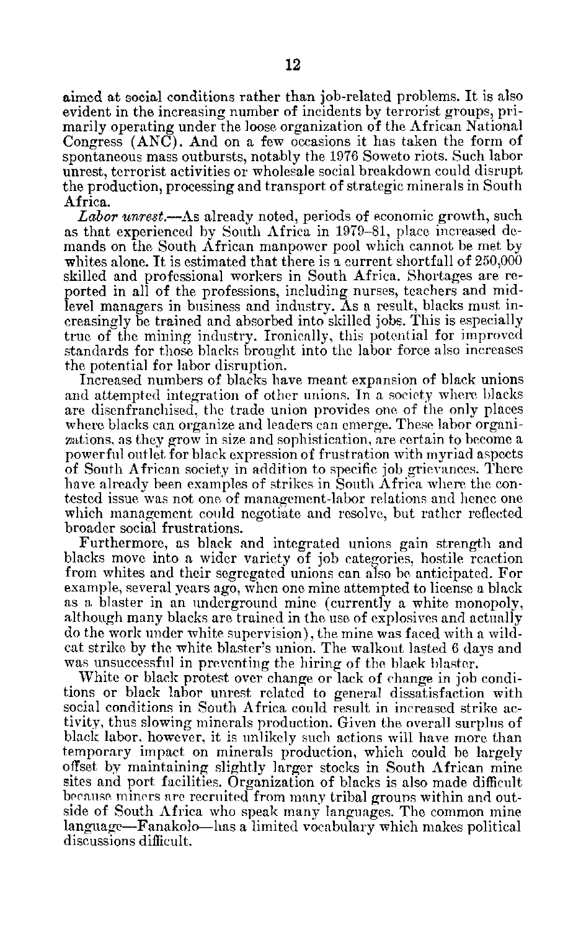aimed at social conditions rather than job-related problems. It is also evident in the increasing number of incidents by terrorist groups, pri marily operating under the loose organization of the African National Congress (ANC). And on a few occasions it has taken the form of spontaneous mass outbursts, notably the 1976 Soweto riots. Such labor unrest, terrorist activities or wholesale social breakdown could disrupt the production, processing and transport of strategic minerals in South Africa.

*Labor unrest.-As* already noted, periods of economic growth, such as that experienced by South Africa in 1979-81, place increased de mands on the South African manpower pool which cannot be met by whites alone. It is estimated that there is a current shortfall of 250,000 skilled and professional workers in South Africa. Shortages are re ported in all of the professions, including nurses, teachers and mid level managers in business and industry. As a result, blacks must increasingly be trained and absorbed into skilled jobs. This is especially true of the mining industry. Ironically, this potential for improved standards for those blacks brought into the labor force also increases the potential for labor disruption.

Increased numbers of blacks have meant expansion of black unions and attempted integration of other unions. In a society where blacks are disenfranchised, the trade union provides one of the only places where blacks can organize and leaders can emerge. These labor organizations, as they grow in size and sophistication, are certain to become a powerful outlet for black expression of frustration with myriad aspects of South African society in addition to specific job grievances. There have already been examples of strikes in South Africa where the con tested issue was not one of management-labor relations and hence one which management could negotiate and resolve, but rather reflected broader social frustrations.

Furthermore, as black and integrated unions gain strength and blacks move into a wider variety of job categories, hostile reaction from whites and their segregated unions can also be anticipated. For example, several years ago, when one mine attempted to license a black as a blaster in an underground mine (currently a white monopoly, although many blacks are trained in the use of explosives and actually do the work under white supervision), the mine was faced with a wild cat strike by the white blaster's union. The walkout lasted 6 days and was unsuccessful in preventing the hiring of the black blaster.

White or black protest over change or lack of change in job condi tions or black labor unrest related to general dissatisfaction with social conditions in South Africa could result in increased strike ac tivity, thus slowing minerals production. Given the overall surplus of black labor, however, it is unlikely such actions will have more than temporary impact on minerals production, which could be largely offset by maintaining slightly larger stocks in South African mine sites and port facilities. Organization of blacks is also made difficult because miners are recruited from many tribal grouns within and out side of South Africa who speak many languages. The common mine language-Fanakolo-has a limited vocabulary which makes political discussions difficult.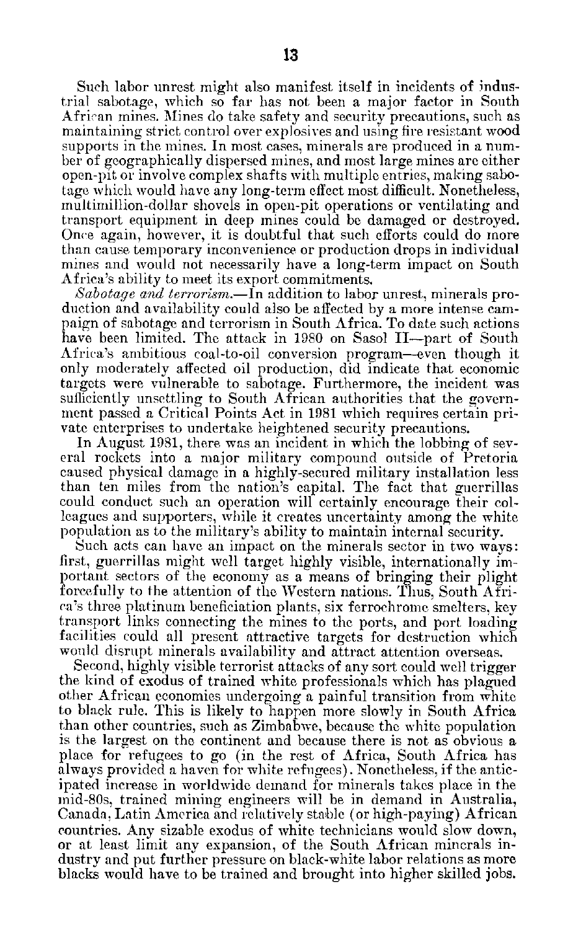Such labor unrest might also manifest itself in incidents of indus trial sabotage, which so far has not been a major factor in South African mines. Mines do take safety and security precautions, such as maintaining strict control over explosives and using fire resistant wood supports in the mines. In most cases, minerals are produced in a num ber of geographically dispersed mines, and most large mines are either open-pit or involve complex shafts with multiple entries, making sabo tage which would have any long-term effect most difficult. Nonetheless, multimillion-dollar shovels in open-pit operations or ventilating and transport equipment in deep mines could be damaged or destroyed. Once again, however, it is doubtful that such efforts could do more than cause temporary inconvenience or production drops in individual mines and would not necessarily have a long-term impact on South Africa's ability to meet its export commitments.

*Sabotage and terrorism.-ln* addition to labor unrest, minerals pro duction and availability could also be affected by a more intense cam paign of sabotage and terrorism in South Africa. To date such actions have been limited. The attack in 1980 on Sasol II-part of South Africa's ambitious coal-to-oil conversion program-even though it only moderately affected oil production, did indicate that economic targets were vulnerable to sabotage. Furthermore, the incident was sufficiently unsettling to South African authorities that the government passed a Critical Points Act in 1981 which requires certain pri vate enterprises to undertake heightened security precautions.

In August 1981, there was an incident in which the lobbing of sev eral rockets into a major military compound outside of Pretoria caused physical damage in a highly-secured military installation less than ten miles from the nation's capital. The fact that guerrillas could conduct such an operation will certainly encourage their col leagues and supporters, while it creates uncertainty among the white population as to the military's ability to maintain internal security.

Such acts can have an impact on the minerals sector in two ways: first, guerrillas might well target highly visible, internationally im portant sectors of the economy as a means of bringing their plight forcefully to the attention of the Western nations. Thus, South Afri ca's three platinum beneficiation plants, six ferrochrome smelters, key transport links connecting the mines to the ports, and port loading facilities could all present attractive targets for destruction which would disrupt minerals availability and attract attention overseas.

Second, highly visible terrorist attacks of any sort could well trigger the kind of exodus of trained white professionals which has plagued other African economies undergoing a painful transition from white to black rule. This is likely to happen more slowly in South Africa than other countries, such as Zimbabwe, because the white population is the largest on the continent and because there is not as obvious a place for refugees to go (in the rest of Africa, South Africa has always provided a haven for white refugees). Nonetheless, if the antic ipated increase in worldwide demand for minerals takes place in the mid-80s, trained mining engineers will be in demand in Australia, Canada. Latin America and relatively stable (or high-paying) African countries. Any sizable exodus of white technicians would slow down, or at least limit any expansion, of the South African minerals in dustry and put further pressure on black-white labor relations as more blacks would have to be trained and brought into higher skilled jobs.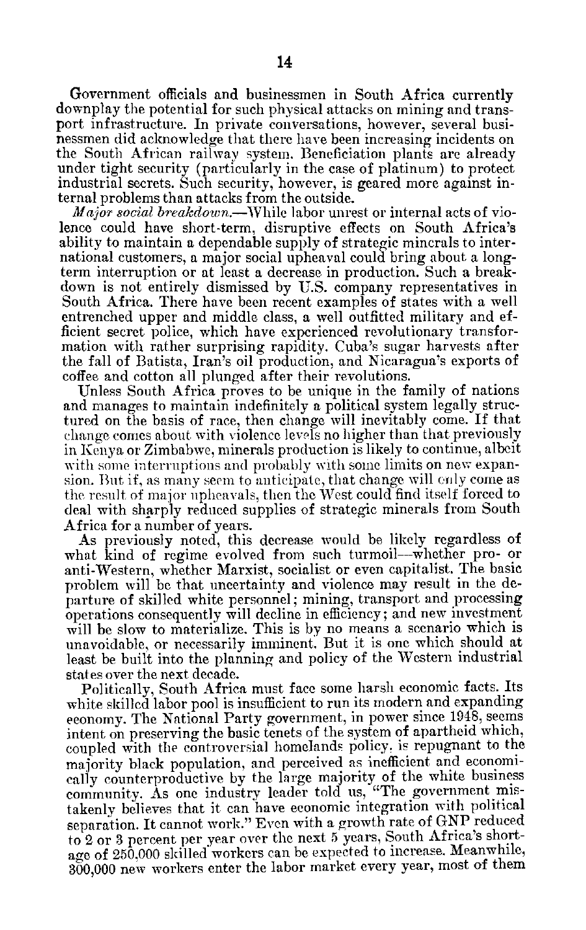Government officials and businessmen in South Africa currently downplay the potential for such physical attacks on mining and trans port infrastructure. In private conversations, however, several busi nessmen did acknowledge that there have been increasing incidents on the South African railway system. Beneficiation plants are already under tight security (particularly in the case of platinum) to protect industrial secrets. Such security, however, is geared more against in ternal problems than attacks from the outside.

*Major social breakdown.-While* labor unrest or internal acts of vio lence could have short-term, disruptive effects on South Africa's ability to maintain a dependable supply of strategic minerals to inter national customers, a major social upheaval could bring about a long term interruption or at least a decrease in production. Such a break down is not entirely dismissed by U.S. company representatives in South Africa. There have been recent examples of states with a well entrenched upper and middle class, a well outfitted military and ef ficient secret police, which have experienced revolutionary transfor mation with rather surprising rapidity. Cuba's sugar harvests after the fall of Batista, Iran's oil production, and Nicaragua's exports of coffee and cotton all plunged after their revolutions.

Unless South Africa proves to be unique in the family of nations and manages to maintain indefinitely a political system legally structured on the basis of race, then change will inevitably come. If that change comes about with violence levels no higher than that previously in Kenya or Zimbabwe, minerals production is likely to continue, albeit with some interruptions and probably with some limits on new expansion. But if, as many seem to anticipate, that change will only come as the result of major upheavals, then the West could find itself forced to deal with sharply reduced supplies of strategic minerals from South Africa for a number of years.

As previously noted, this decrease would be likely regardless of what kind of regime evolved from such turmoil-whether pro- or anti-Western, whether Marxist, socialist or even capitalist. The basic problem will be that uncertainty and violence may result in the de parture of skilled white personnel; mining, transport and processing operations consequently will decline in efficiency; and new investment will be slow to materialize. This is by no means a scenario which is unavoidable, or necessarily imminent. But it is one which should at least be built into the planning and policy of the Western industrial states over the next decade.

Politically, South Africa must face some harsh economic facts. Its white skilled labor pool is insufficient to run its modern and expanding economy. The National Party government, in power since 1948, seems intent on preserving the basic tenets of the system of apartheid which, coupled with the controversial homelands policy, is repugnant to the majority black population, and perceived as inefficient and economi cally counterproductive by the large majority of the white business community. As one industry leader told us, "The government mis takenly believes that it can have economic integration with political separation. It cannot work." Even with a growth rate of **GNP** reduced to 2 or 3 percent per year over the next 5 years, South Africa's short age of 250,000 skilled workers can be expected to increase. Meanwhile, 300,000 new workers enter the labor market every year, most of them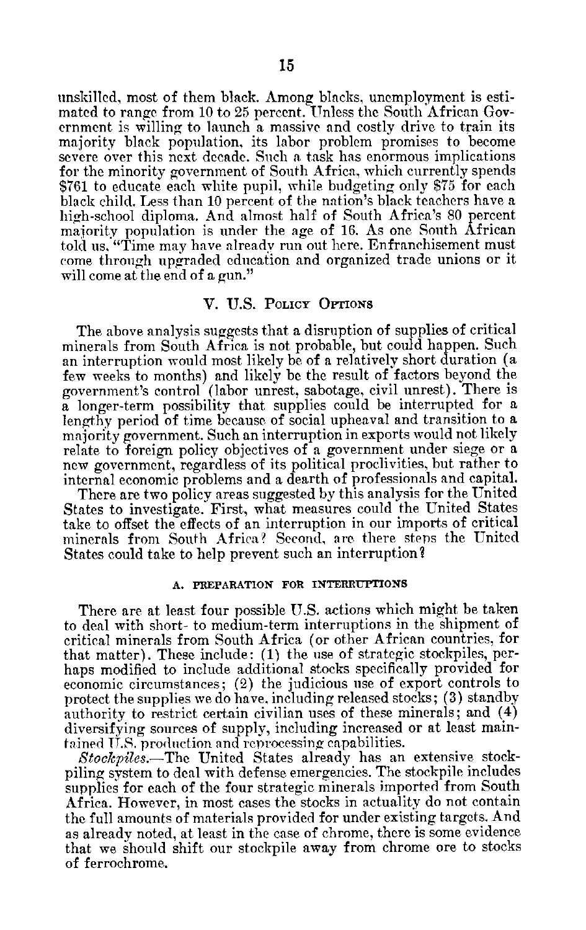unskilled, most of them black. Among blacks, unemployment is esti mated to range from 10 to 25 percent. Unless the South African Gov ernment is willing to launch a massive and costly drive to train its majority black population, its labor problem promises to become severe over this next decade. Such a task has enormous implications for the minority government of South Africa, which currently spends \$761 to educate each white pupil, while budgeting only \$75 for each black child. Less than 10 percent of the nation's black teachers have a high-school diploma. And almost half of South Africa's 80 percent majority population is under the age of 16. As one South African told us. "Time may have already run out here. Enfranchisement must come through upgraded education and organized trade unions or it will come at the end of a gun."

## V. U.S. POLICY OFrIONS

The above analysis suggests that a disruption of supplies of critical minerals from South Africa is not probable, but could happen. Such an interruption would most likely be of a relatively short duration (a few weeks to months) and likely be the result of factors beyond the government's control (labor unrest, sabotage, civil unrest). There is a longer-term possibility that supplies could be interrupted for a lengthy period of time because of social upheaval and transition to a majority government. Such an interruption in exports would not likely relate to foreign policy objectives of a government under siege or a new government, regardless of its political proclivities, but rather to internal economic problems and a dearth of professionals and capital.

There are two policy areas suggested by this analysis for the United States to investigate. First, what measures could the United States take to offset the effects of an interruption in our imports of critical minerals from South Africa? Second, are there steps the United States could take to help prevent such an interruption?

## **A. PREPARATION FOR INTERRUPTIONS**

There are at least four possible U.S. actions which might be taken to deal with short- to medium-term interruptions in the shipment of critical minerals from South Africa (or other African countries, for that matter). These include: (1) the use of strategic stockpiles, per haps modified to include additional stocks specifically provided for economic circumstances; (2) the judicious use of export controls to protect the supplies we do have, including released stocks; (3) standby authority to restrict certain civilian uses of these minerals; and (4) diversifying sources of supply, including increased or at least main tained **U.S.** production and reprocessing capabilities.

*Stockpiles.-The* United States already has an extensive stock piling system to deal with defense emergencies. The stockpile includes supplies for each of the four strategic minerals imported from South Africa. However, in most cases the stocks in actuality do not contain the full amounts of materials provided for under existing targets. And as already noted, at least in the case of chrome, there is some evidence that we should shift our stockpile away from chrome ore to stocks of ferrochrome.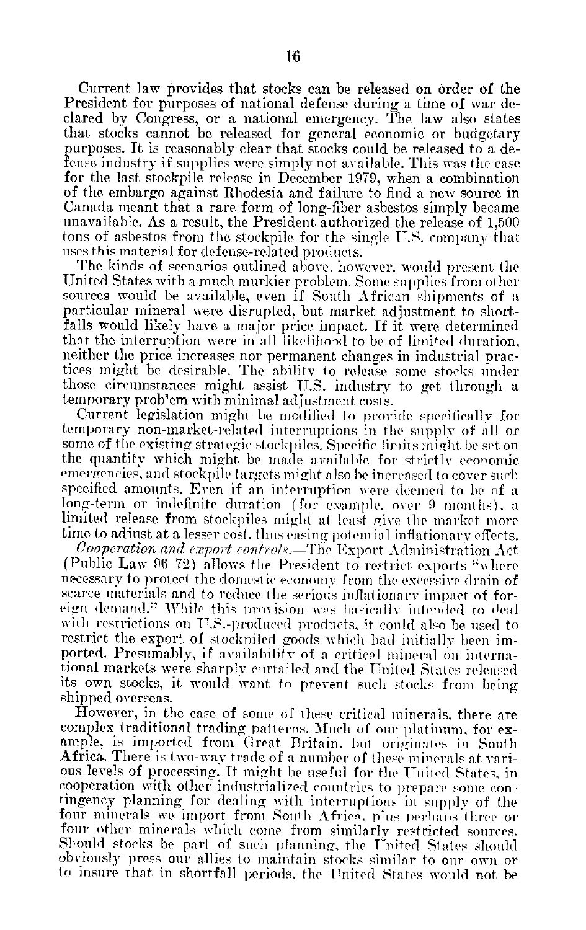Current law provides that stocks can be released on order of the President for purposes of national defense during a time of war de clared by Congress, or a national emergency. The law also states that stocks cannot be released for general economic or budgetary purposes. It is reasonably clear that stocks could be released to a de fense industry if supplies were simply not available. This was the case for the last stockpile release in December 1979, when a combination of the embargo against Rhodesia and failure to find a new source in Canada meant that a rare form of long-fiber asbestos simply became unavailable. As a result, the President authorized the release of 1,500 tons of asbestos from the stockpile for the single U.S. company that uses this material for defense-related products.

The kinds of scenarios outlined above, however, would present the United States with a much murkier problem. Some supplies from other sources would be available, even if South African shipments of a particular mineral were disrupted, but market adjustment to short falls would likely have a major price impact. If it were determined that the interruption were in all likelihood to be of limited duration, neither the price increases nor permanent changes in industrial prac tices might be desirable. The ability to release some stoeks under those circumstances might assist U.S. industry to get through a temporary problem with minimal adjustment costs.

Current legislation might be modified to provide specifically for temporary non-market-related interruptions in the supply of all or some of the existing strategic stockpiles. Specific limits might be set on the quantity which might be made available for strictly economic emergencies, and stockpile targets might also be increased to cover such specified amounts. Even if an interruption were deemed to be of a long-term or indefinite duration (for example, over 9 months), a limited release from stockpiles might at least give the market more time to adjust at a lesser cost, thus easing potential inflationary effects.

Cooperation and *export coidro7..-The* Export Administration Act (Public Law 96-72) allows the President to restrict exports "where necessary to protect the domestic economy from the excessive drain of scarce materials and to reduce the serious inflationary impact of for eign demand." While this provision was basically intended to deal with restrictions on U.S.-produced products, it could also be used to restrict the export of stockpiled goods which had initially been imported. Presumably, if availability of a critical mineral on international markets were sharply curtailed and the United States released its own stocks, it would want to prevent such stocks from being shipped overseas.

However, in the case of some of these critical minerals, there are complex traditional trading patterns. Much of our platinum, for ex ample, is imported from Great Britain. but originates in South Africa. There is two-way trade of a number of these minerals at various levels of processing. It might be useful for the United States, in cooperation with other industrialized countries to prepare some contingency planning for dealing with interruptions in supply of the four minerals we import from South Africa, plus perhaps three or four other minerals which come from similarly restricted sources. Should stocks be part of such planning, the United States should obviously press our allies to maintain stocks similar to our own or to insure that in shortfall periods, the United States would not be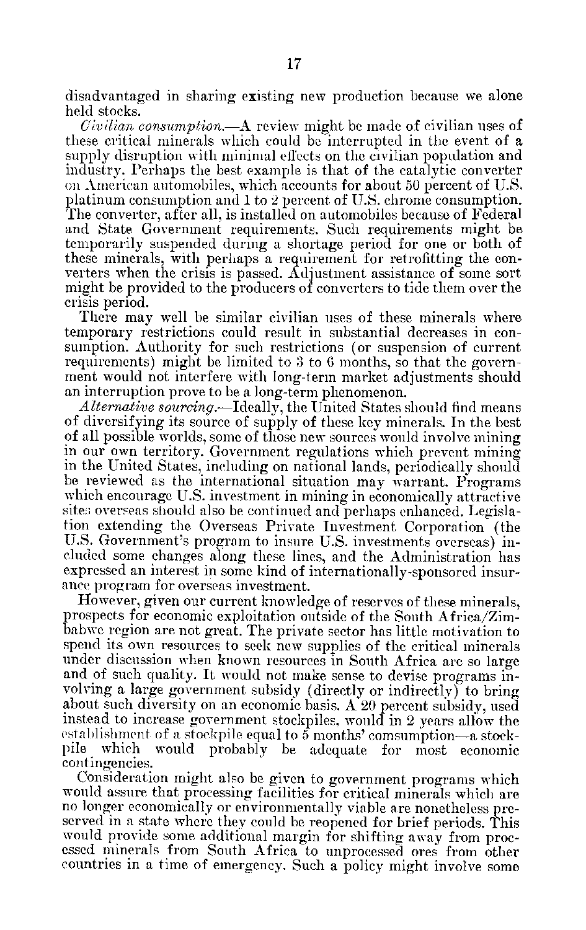disadvantaged in sharing existing new production because we alone held stocks.

*Civilian consumption.-A* review might be made of civilian uses of these critical minerals which could be interrupted in the event of a supply disruption with minimal effects on the civilian population and industry. Perhaps the best example is that of the catalytic converter on American automobiles, which accounts for about 50 percent of U.S. platinum consumption and **1** to 2 percent of U.S. chrome consumption. The converter, after all, is installed on automobiles because of Federal and State Government requirements. Such requirements might be temporarily suspended during a shortage period for one or both of these minerals, with perhaps a requirement for retrofitting the con verters when the crisis is passed. Adjustment assistance of some sort might be provided to the producers of converters to tide them over the crisis period.

There may well be similar civilian uses of these minerals where temporary restrictions could result in substantial decreases in con sumption. Authority for such restrictions (or suspension of current requirements) might be limited to 3 to 6 months, so that the govern ment would not interfere with long-term market adjustments should an interruption prove to be a long-term phenomenon.

*Alternative sourcing.-Ideally,* the United States should find means of diversifying its source of supply of these key minerals. In the best of all possible worlds, some of those new sources would involve mining in our own territory. Government regulations which prevent mining in the United States, including on national lands, periodically should be reviewed as the international situation may warrant. Programs which encourage U.S. investment in mining in economically attractive site: overseas should also be continued and perhaps enhanced. Legislation extending the Overseas Private Investment Corporation (the U.S. Government's program to insure U.S. investments overseas) included some changes along these lines, and the Administration has expressed an interest in some kind of internationally-sponsored insur ance program for overseas investment.

However, given our current knowledge of reserves of these minerals, prospects for economic exploitation outside of the South Africa/Zim babwe region are not great. The private sector has little motivation to spend its own resources to seek new supplies of the critical minerals under discussion when known resources in South Africa are so large and of such quality. It would not make sense to devise programs in volving a large government subsidy (directly or indirectly) to bring about such diversity on an economic basis. A 20 percent subsidy, used instead to increase government stockpiles, would in 2 years allow the establishment of a stockpile equal to  $5$  months' comsumption—a stockpile which would probably be adequate for most economic contingencies.

Consideration might also be given to government programs which would assure that processing facilities for critical minerals which are no longer economically or environmentally viable are nonetheless pre served in a state where they could be reopened for brief periods. This would provide some additional margin for shifting away from proc essed minerals from South Africa to unprocessed ores from other countries in a time of emergency. Such a policy might involve some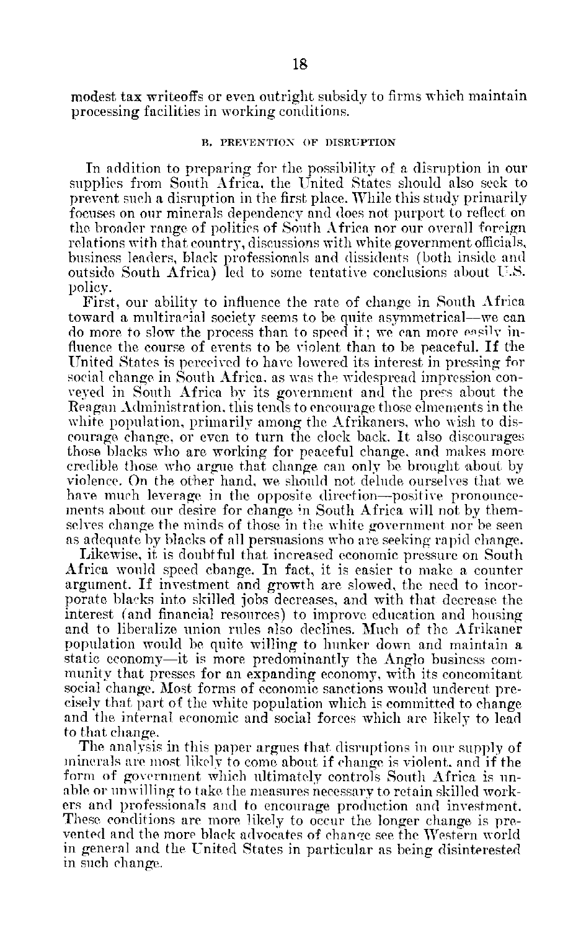modest tax writeoffs or even outright subsidy to firms which maintain processing facilities in working conditions.

## **B.** PREVENTION OF **DISRUPTION**

In addition to preparing for the possibility of a disruption in our supplies from South Africa, the United States should also seek to prevent such a disruption in the first place. While this study primarily focuses on our minerals dependency and does not purport to reflect on the broader range of politics of South Africa nor our overall foreign relations with that country, discussions with white government officials, business leaders, black professionals and dissidents (both inside and outside South Africa) led to some tentative conclusions about U.S. policy.

First, our ability to influence the rate of change in South Africa toward a multiraoial society seems to be quite asymmetrical-we can do more to slow the process than to speed it; we can more easily influence the course of events to be violent than to be peaceful. If the United States is perceived to have lowered its interest in pressing for social change in South Africa, as was the widespread impression con veyed in South Africa by its government and the press about the Reagan Administration, this tends to encourage those elinements in the white population, primarily among the Afrikaners, who wish to discourage change, or even to turn the clock back. It also discourages those blacks who are working for peaceful change, and makes more credible those who argue that change can only be brought about by violence. On the other hand, we should not delude ourselves that we have much leverage in the opposite direction-positive pronouncements about our desire for change in South Africa will not by them selves change the minds of those in the white government nor be seen as adequate by blacks of all persuasions who are seeking rapid change.

Likewise, it is doubtful that increased economic pressure on South Africa would speed change. In fact, it is easier to make a counter argument. If investment and growth are slowed, the need to incor porate blaoks into skilled jobs decreases, and with that decrease the interest (and financial resources) to improve education and housing and to liberalize union rules also declines. Much of the Afrikaner population would be quite willing to hunker down and maintain a static economy-it is more predominantly the Anglo business com munity that presses for an expanding economy, with its concomitant social change. Most forms of economic sanctions would undercut pre cisely that part of the white population which is committed to change and the internal economic and social forces which are likely to lead to that change.

The analysis in this paper argues that disruptions in our supply of minerals are most likely to come about if change is violent, and if the form of government which ultimately controls South Africa is un able or unwilling to take the measures necessary to retain skilled work ers and professionals and to encourage production and investment. These conditions are more likely to occur the longer change is pre vented and the more black advocates of change see the Western world in general and the United States in particular as being disinterested in such change.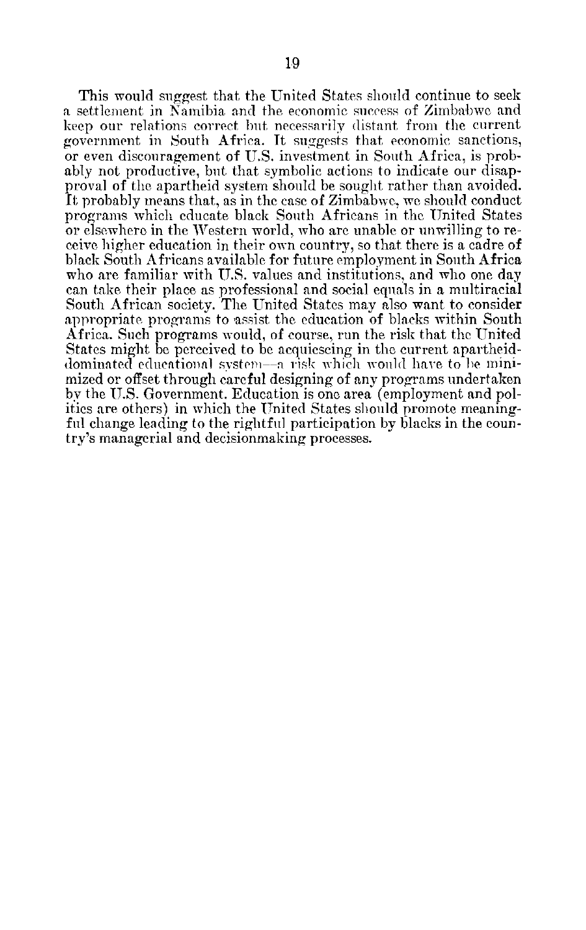This would suggest that the United States should continue to seek a settlement in Namibia and the economic success of Zimbabwe and keep our relations correct but necessarily distant from the current government in South Africa. It suggests that economic sanctions, or even discouragement of U.S. investment in South Africa, is prob ably not productive, but that symbolic actions to indicate our disap proval of the apartheid system should be sought rather than avoided. It probably means that, as in the case of Zimbabwe, we should conduct programs which educate black South Africans in the United States or elsewhere in the Western world, who are unable or unwilling to re ceive higher education in their own country, so that there is a cadre of black South Africans available for future employment in South Africa who are familiar with U.S. values and institutions, and who one day can take their place as professional and social equals in a multiracial South African society. The United States may also want to consider appropriate programs to assist the education of blacks within South Africa. Such programs would, of course, run the risk that the United States might be perceived to be acquiescing in the current apartheid dominated educational system -a risk which would have to he mini mized or offset through careful designing of any programs undertaken by the U.S. Government. Education is one area (employment and pol ities are others) in which the United States should promote meaningful change leading to the rightful participation by blacks in the coun try's managerial and decisionmaking processes.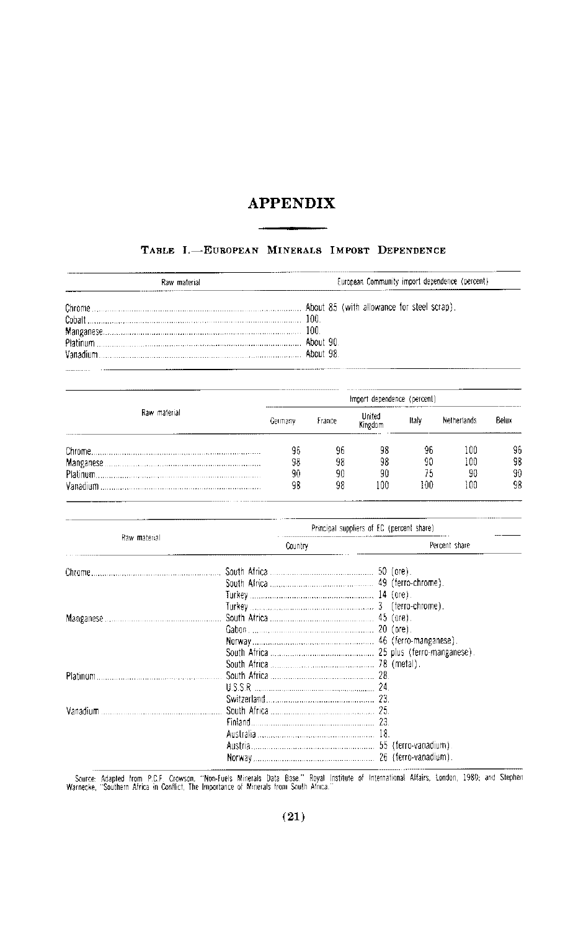## **APPENDIX**

## TABLE I.-EUROPEAN MINERALS IMPORT DEPENDENCE

| Raw material | European Community import dependence (percent) |
|--------------|------------------------------------------------|
|              |                                                |
| Cobalt 200.  |                                                |
|              |                                                |
|              |                                                |
|              |                                                |

| Raw material | Import dependence (percent) |        |                   |       |             |       |  |  |
|--------------|-----------------------------|--------|-------------------|-------|-------------|-------|--|--|
|              | Germany                     | France | United<br>Kingdom | Italy | Netherlands | Belux |  |  |
|              | 96                          | 96     | 98                | 96    | 100         | 96    |  |  |
|              | 98                          | 98     | 98                | 90    | 100         | 98    |  |  |
|              | 90                          | 90     | 90                | 75    | 90          | 90    |  |  |
|              | 98                          | 98     | 100               | 100   | 100         | 98    |  |  |

|              | Principal suppliers of EC (percent share) |               |
|--------------|-------------------------------------------|---------------|
| Raw material | Country                                   | Percent share |
|              |                                           |               |
|              |                                           |               |
|              |                                           |               |
|              |                                           |               |
|              |                                           |               |
|              |                                           |               |
|              |                                           |               |
|              |                                           |               |
|              |                                           |               |
|              |                                           |               |
|              |                                           |               |
|              |                                           |               |
| Vanadium     |                                           |               |
|              |                                           |               |
|              |                                           |               |
|              |                                           |               |
|              |                                           |               |

Source: Adapted from P.C.F. Crowson, "Non-Fuels Minerals Data Base." Royal Institute of International Affairs, London, 1980; and Stephen Warnecke, "Southern Africa in Conflict, The Importance of Minerals from South Africa.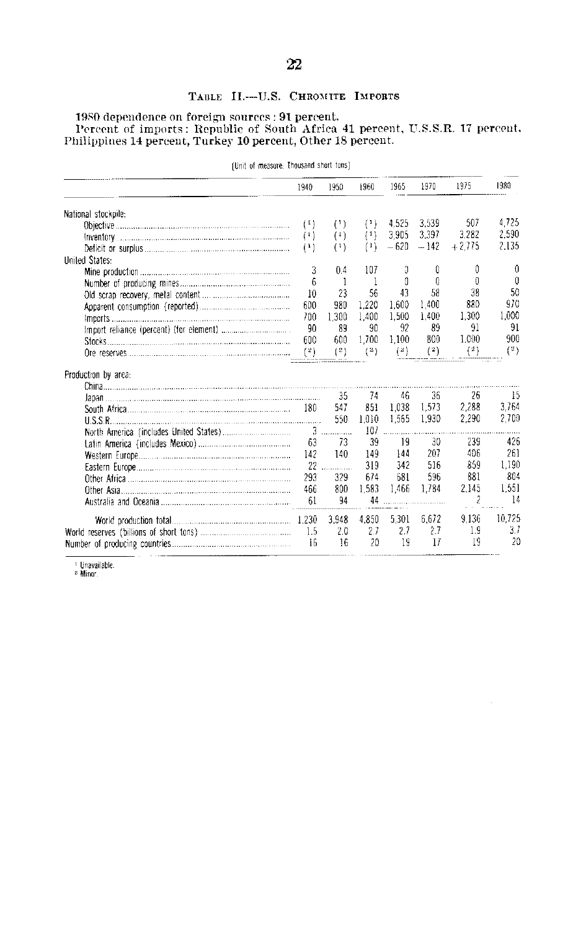## TABLE II.--U.S. CHROMITE IMPORTS

# 1980 dependence on foreign sources : 91 percent.<br>Percent of imports : Republic of South Africa 41 percent, U.S.S.R. 17 percent,<br>Philippines 14 percent, Turkey 10 percent, Other 18 percent.

| (Unit of measure: Thousand short tons) |      |                |       |        |        |          |          |  |
|----------------------------------------|------|----------------|-------|--------|--------|----------|----------|--|
|                                        | 1940 | 1950           | 1960  | 1965   | 1970   | 1975     | 1980     |  |
| National stockpile:                    |      |                |       |        |        |          |          |  |
|                                        | (1)  | (1)            | (1)   | 4.525  | 3.539  | 507      | 4.725    |  |
|                                        | (1)  | $^{(1)}$       | (1)   | 3.905  | 3.397  | 3.282    | 2.590    |  |
|                                        | (1)  | (1)            | (1)   | $-620$ | $-142$ | $+2.775$ | 2,135    |  |
| <b>Uniled States:</b>                  |      |                |       |        |        |          |          |  |
|                                        | 3    | 0.4            | 107   | G      | 0      | 0        | 0        |  |
|                                        | 6    | $\overline{1}$ | -1    | Ω      | 0      | ŋ        | $\theta$ |  |
|                                        | 10   | 23             | 56    | 43     | 58     | 38       | 50       |  |
|                                        | 600  | 980            | 1.220 | 1,600  | 1.400  | 880      | 970      |  |
|                                        | 700  | 1.300          | 1.400 | 1,500  | 1.400  | 1.300    | 1.000    |  |
|                                        | 90   | 89             | 90    | 92     | 89     | 91       | 91       |  |
|                                        | 600  | 600            | 1,700 | 1.100  | 800    | 1.000    | 900      |  |
|                                        | (2)  | (2)            | (2)   | (2)    | (2)    | (2)      | (2)      |  |
| Production by area:                    |      |                |       |        |        |          |          |  |
|                                        |      |                |       |        |        |          |          |  |
|                                        |      | 35             | 74    | 46     | 36     | 26       | -15      |  |
|                                        | 180  | 547            | 851   | 1.038  | 1.573  | 2.288    | 3.764    |  |
|                                        |      | 550            | 1.010 | 1.565  | 1,930  | 2.290    | 2,700    |  |
|                                        |      |                | 107.  |        |        |          |          |  |
|                                        | 63   | 73             | 39    | -19    | 30     | 239      | 426      |  |
|                                        | 142  | 140            | 149   | 144    | 207    | 406      | 261      |  |
|                                        | 22   |                | 319   | 342    | 516    | 859      | 1,190    |  |
|                                        | 293  | 329            | 674   | 681    | 596    | 881      | 804      |  |
|                                        | 466  | 800            | 1.583 | 1.466  | 1.784  | 2.145    | 1.551    |  |
|                                        | 61   | 94             | 44    |        |        | 2        | 14       |  |
|                                        |      | 3.948          | 4,850 | 5,301  | 6.672  | 9.136    | 10,725   |  |
|                                        | 1.5  | 2.0            | 2.7   | 2.7    | 2.7    | 1.9      | 3.1      |  |
|                                        | 16   | 16             | 20    | 19     | 17     | 19       | 20       |  |

<sup>1</sup> Unavailable.<br><sup>2</sup> Minor.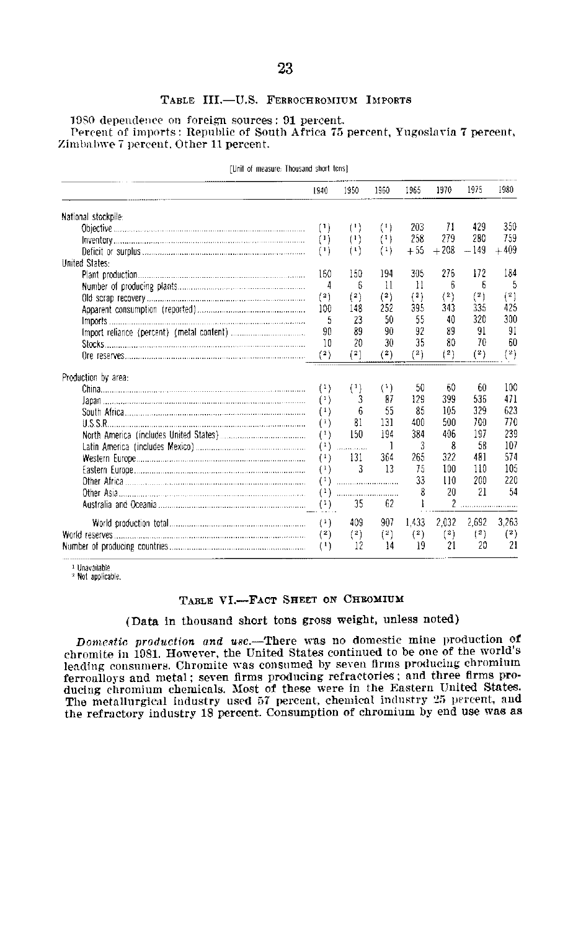#### TABLE III.-U.S. FERROCHROMIUM IMPORTS

1980 dependence on foreign sources: 91 percent. Percent of imports: Republic of South Africa 75 percent, Yugoslavia 7 percent, Zimbabwe 7 percent, Other 11 percent.

|                     | 1940     | 1950                                        | 1950     | 1965     | 1970           | 1975     | 1980     |
|---------------------|----------|---------------------------------------------|----------|----------|----------------|----------|----------|
| National stockpile: |          |                                             |          |          |                |          |          |
|                     | (1)      | $^{(1)}$                                    | $^{(1)}$ | 203      | 71             | 429      | 350      |
|                     | (1)      | $^{(1)}$                                    | (1)      | 258      | 279            | 280      | 759      |
|                     | (1)      | $^{(1)}$                                    | (1)      | $+55$    | $+208$         | $-149$   | $+409$   |
| United States:      |          |                                             |          |          |                |          |          |
|                     | 160      | 150                                         | 194      | 305      | 276            | 172      | 184      |
|                     | 4        | 6                                           | 11       | 11       | 6              | 6        | 5        |
|                     | (2)      | (2)                                         | (2)      | (3)      | (2)            | $^{(2)}$ | (2)      |
|                     | 100      | 148                                         | 252      | 395      | 343            | 335      | 425      |
|                     | 5        | 23                                          | 50       | 55       | 40             | 320      | 300      |
|                     | 90       | 89                                          | 90       | 92       | 89             | 91       | 91       |
| Stocks              | 10       | 20                                          | 30       | 35       | 80             | 70       | 60       |
|                     | (2)      | (2)                                         | (2)      | $^{(2)}$ | $^{(2)}$       | (2)      | $^{(2)}$ |
| Production by area: |          |                                             |          |          |                |          |          |
|                     | $^{(1)}$ | (1)                                         | $^{(1)}$ | 50       | 60             | 60       | 100      |
|                     | (1)      | 3                                           | 87       | 129      | 399            | 536      | 471      |
|                     | $^{(1)}$ | 6                                           | 55       | 85       | 105            | 329      | 623      |
|                     | (1)      | 81                                          | 131      | 400      | 500            | 700      | 770      |
|                     | (1)      | 150                                         | 194      | 384      | 406            | 197      | 239      |
|                     | $^{(1)}$ | .                                           | 1        | 3        | 8              | 58       | 107      |
|                     | (1)      | 131                                         | 364      | 265      | 322            | 481      | 574      |
|                     | (1)      | 3                                           | 13       | 75       | 100            | 110      | 105      |
|                     | (1)      | $\ldots \ldots \ldots \ldots \ldots \ldots$ |          | 33       | 110            | 200      | 220      |
| Other Asia          | $^{(1)}$ |                                             |          | ጸ        | 20             | 21       | 54       |
|                     | $^{(1)}$ | 35                                          | 62       | I        | $\overline{2}$ |          |          |
|                     | $^{(1)}$ | 409                                         | 907      | 1,433    | 2.032          | 2,692    | 3,263    |
|                     | $^{(2)}$ | $^{\{2\}}$                                  | $\{2\}$  | (2)      | $^{(2)}$       | (2)      | (2)      |
|                     | $^{(1)}$ | 12                                          | 14       | 19       | 21             | 20       | 21       |

[Unit of measure: Thousand short tons]

<sup>1</sup> Unavailable.

<sup>2</sup> Not applicable.

## TABLE VI.-FACT SHEET ON CHROMIUM

## (Data in thousand short tons gross weight, unless noted)

Domestic production and use.-There was no domestic mine production of chromite in 1981. However, the United States continued to be one of the world's leading consumers. Chromite was consumed by seven firms producing chromium ferroalloys and metal; seven firms producing refractories; and three firms producing chromium chemicals. Most of these were in the Eastern United States. The metallurgical industry used 57 percent, chemical industry 25 percent, and the refractory industry 18 percent. Consumption of chromium by end use was as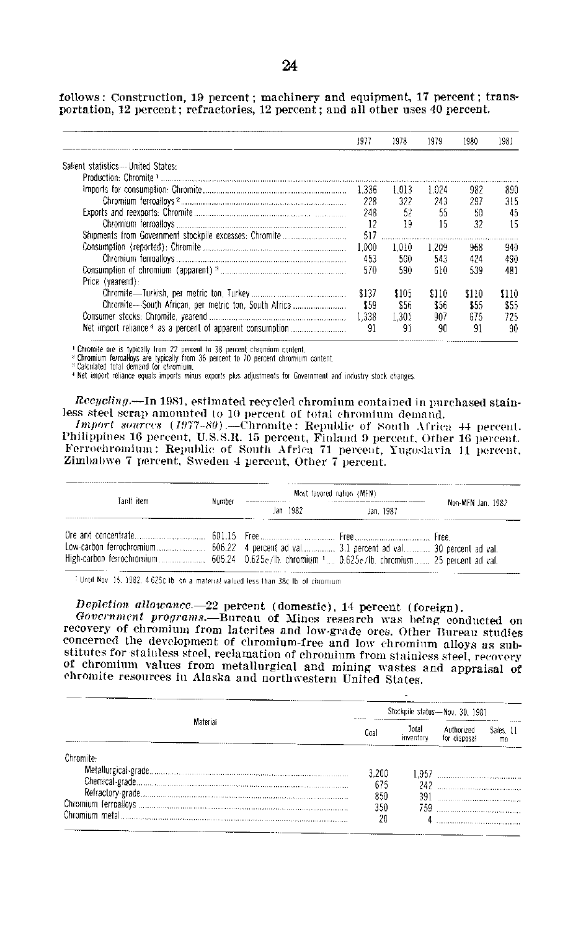follows: Construction, **19** percent; machinery and equipment, **17** percent; trans portation, 12 percent; refractories, 12 percent; and all other uses 40 percent.

|                                                        | 1977   | 1978  | 1979  | 1980  | 1981 |
|--------------------------------------------------------|--------|-------|-------|-------|------|
| Salient statistics--- United States:                   |        |       |       |       |      |
|                                                        |        |       |       |       |      |
|                                                        | -1.336 | 1.013 | 1.024 | 982   | 890  |
|                                                        | 228    | 322   | 243   | 297   | 315  |
|                                                        | 248    | 52    | 55    | 50    | 45   |
|                                                        | 12     | 19    | 15    | 32    | 15   |
|                                                        | 517    |       |       |       |      |
|                                                        | 1.000  | 1.010 | 1.209 | 968   | 940  |
|                                                        | 453    | 500.  | 543   | 424   | 490  |
|                                                        | 570    | 590   | 610   | 539   | 481  |
| Price (yearend):                                       |        |       |       |       |      |
|                                                        | \$137  | \$105 | \$110 | \$110 | 5110 |
| Chromite---South African, per metric ton, South Africa | \$59   | \$56  | \$56  | \$55  | \$55 |
|                                                        | 1.338  | 1.301 | 907   | 675   | 725  |
|                                                        | 91     | 91    | 90    | 91    | 90   |

<sup>1</sup> Chromite ore is typically from 22 percent to 38 percent chromium content.<br><sup>2</sup> Chromium ferroatloys are typically from 36 percent to 70 percent chromium content.<br><sup>3</sup> Calculated total demand for chromium.

4 Net import reliance equals imports minus exports plus adjustments forGovernment and industry stock changes

*Rccyclin.-In* **1981,** estimated recycled chromium contained in purchased stain less steel scrap amounted to 10 percent of total chromium demand.

*Import sources (1977-80)*.--Chromite: Republic of South Africa 44 percent. Philippines 16 percent, U.S.S.R. 15 percent, Finland 9 percent, Other 16 percent. Ferrochromiin **: Republic** of South Africa **71** percent, Yugoslavia **11** percent. Zimbal)we **7** percent, Sweden 4 percent, Other **7** percent.

| Tariff item | Number | Most favored nation (MFN) |           |                   |
|-------------|--------|---------------------------|-----------|-------------------|
|             |        | Jan 1982.                 | Jan. 1987 | Non-MFN Jan. 1982 |
|             |        |                           |           |                   |

<sup>2</sup> Until Nov 15, 1982, 4.625¢ lb on a material valued less than 38¢ lb of chromium

## *Depletion allowance.-22* percent (domestic), 14 percent (foreign).

*Government programs.-Bureau* of Mines research was being conducted on recovery of chromium from laterites and low-grade ores. Other Bureau studies concerned the development of chromium-free and low chromium alloys as sub stitutes for stainless steel, reclamation of chromium fron stainless steel, recovery of chromium values from metallurgical and mining wastes and appraisal of chromite resources in Alaska and northvestern United States.

|            | Stockpile status-Nov. 30, 1981 |                    |                            |                             |  |  |  |  |
|------------|--------------------------------|--------------------|----------------------------|-----------------------------|--|--|--|--|
| Material   | Goal                           | Total<br>inventory | Authorized<br>for disposal | Sales, 11<br>m <sub>0</sub> |  |  |  |  |
| Chramite - |                                |                    |                            |                             |  |  |  |  |
|            | 3.200                          |                    |                            |                             |  |  |  |  |
|            | 675                            |                    | 242                        |                             |  |  |  |  |
|            | 850                            |                    | 391                        |                             |  |  |  |  |
|            | 350                            |                    |                            |                             |  |  |  |  |
|            | 20                             |                    |                            |                             |  |  |  |  |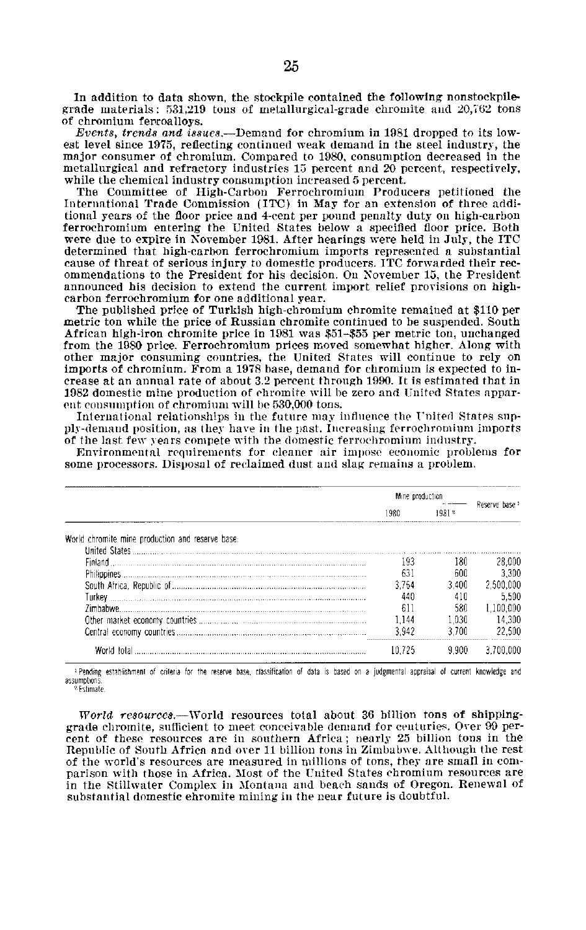In addition to data shown, the stockpile contained the following nonstockpile grade materials: 531,219 tons of metallurgical-grade chromite and **20,'62** tons of chromium ferroalloys.

*Events, trends and* issues.-Demand for chromium in 1981 dropped to its low est level since 1975, reflecting continued weak demand in the steel industry, the major consumer of chromium. Compared to 1980, consumption decreased in the metallurgical and refractory industries **15** percent and 20 percent, respectively, while the chemical industry consumption increased 5 percent.

The Committee of High-Carbon Ferrochromium Producers petitioned the International Trade Commission (ITC) in May for an extension of three addi tional years of the floor price and 4-cent per pound penalty duty on high-carbon ferrochromium entering the United States below a specified floor price. Both were due to expire in November 1981. After hearings were held in July, the ITC determined that high-carbon ferrochromium imports represented a substantial cause of threat of serious injury to domestic producers. ITC forwarded their rec ommendations to the President for his decision. On November **15.** the President announced his decision to extend the current import relief provisions on high carbon ferrochromium for one additional year.

The published price of Turkish high-chromium chromite remained at \$110 per metric ton while the price of Russian chromite continued to be suspended. South African high-iron chromite price in 1981 was \$51-\$55 per metric ton, unchanged from the 1980 price. Ferrochromium prices moved somewhat higher. Along with other major consuming countries, the United States will continue to rely on imports of chromium. From a 1978 base, demand for chromium is expected to in crease at an annual rate of about 3.2 percent through 1990. It is estimated that in **1.982** domestic mine production of chromite will be zero and United States appar ent consumption of chromium will be 530,000 tons.

International relationships in the future may influence the I'nited States sup ply-demand position, as they have in the past. Increasing ferrochromium imports of the last few years compete with the domestic ferrochromium industry.

Environmental requirements for cleaner air impose economic problems for some processors. Disposal of reclaimed dust and slag remains a problem.

|                                                  | Mine production  | $\cdots$ |                           |
|--------------------------------------------------|------------------|----------|---------------------------|
|                                                  | 1980             | 1981     | Reserve base <sup>1</sup> |
| World chromite mine production and reserve base: |                  |          |                           |
| <b>United States</b>                             |                  |          |                           |
| -inland-                                         | 193              | 180      | 28.000                    |
|                                                  | 63.              | 600      | 3.300                     |
|                                                  | .764             | ₹400     | .500.000                  |
| I urkev                                          | 440              |          |                           |
|                                                  | $^{\sim}$<br>'nΙ |          | 100 000                   |
|                                                  | . 144            | .030     | 14.300                    |
|                                                  | -94              |          | 22.500                    |
| tota                                             |                  |          |                           |

aPending establishment of criteria for the reserve base, classification of data is based on a judgmental appraisal of current knowledge and assumptions

*World resourcc.-World* resources total about **36** billion tons of shipping grade chromite, sufficient to meet conceivable demand for centuries. Over 99 per cent of these resources are in southern Africa; nearly 25 billion tons in the Republic of South Africa and over 11 billion tons in Zimbabwe. Although the rest of the world's resources are measured in millions of tons, they are small in com parison with those in Africa. Most of the United States chromium resources are in the Stillwater Complex in Montana and beach sands of Oregon. Renewal of substantial domestic chromite mining in the near future is doubtful.

**<sup>2</sup>** Estimate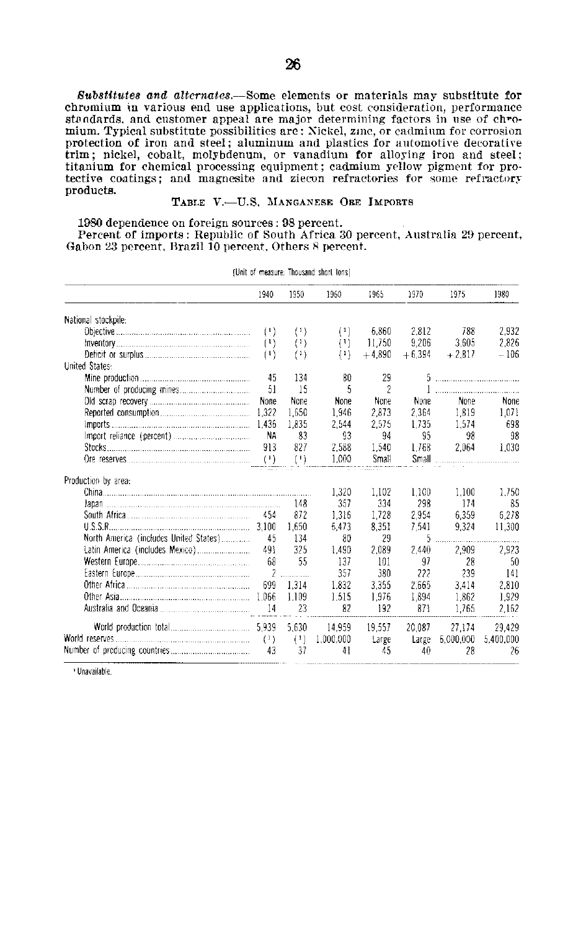*Substitutes and altcrnates.-Some* elements or materials may substitute for chromium in various end use applications, but cost consideration, performance standards, and customer appeal are major determining factors in use of **ch"o** mium. Typical substitute possibilities are: Nickel, zinc, or cadmium for corrosion protection of iron and steel; aluminum and plastics for automotive decorative trim; nickel, cobalt, molybdenum, or vanadium for alloying iron and steel; titanium for chemical processing equipment; cadmium yellow pigment for pro tective coatings; and magnesite and ziecon refractories for some refractory products.

#### TABLE **V.-U.S. MANGANESE** ORE IMPORTS

**1980** dependence on foreign sources: **98** percent.

Percent of imports: Republic of South Africa **30** percent, Australia **29** percent, Gabon **23** percent. Brazil **10** percent. Others **8** percent.

|                                        | 1940              | 1950     | 1960      | 1965     | 1970     | 1975      | 1980      |
|----------------------------------------|-------------------|----------|-----------|----------|----------|-----------|-----------|
| National stockpile:                    |                   |          |           |          |          |           |           |
|                                        | $^{(1)}$          | $^{(1)}$ | $^{(1)}$  | 6.860    | 2.812    | 788       | 2.932     |
|                                        | $^{(1)}$          | $^{(1)}$ | $^{(1)}$  | 11,750   | 9,206    | 3,605     | 2,826     |
|                                        | $^{(1)}$          | (1)      | $^{(1)}$  | $+4.890$ | $+6.394$ | $+2.817$  | $-106$    |
| United States:                         |                   |          |           |          |          |           |           |
|                                        | 45                | 134      | 80        | 29       |          |           |           |
|                                        | 51                | 15       | 5         | 2        |          |           |           |
|                                        | None              | None     | None      | None     | None     | None      | None      |
|                                        |                   | 1,650    | 1.946     | 2.873    | 2.364    | 1.819     | 1.071     |
|                                        |                   | 1,835    | 2.544     | 2.575    | 1.735    | 1.574     | 698       |
|                                        | NA                | 83       | 93        | 94       | 95       | 98        | 98        |
|                                        | 913               | 827      | 2,588     | 1.540    | 1.768    | 2,064     | 1,030     |
|                                        | $\left( 1\right)$ | (!)      | 1.000     | Small    | Small    |           |           |
| Production by area:                    |                   |          |           |          |          |           |           |
|                                        |                   |          | 1,320     | 1,102    | 1.100    | 1,100     | 1,750     |
|                                        |                   | 148      | 357       | 334      | 298      | 174       | 85        |
|                                        | 454               | 872      | 1.316     | 1.728    | 2954     | 6.359     | 6,278     |
|                                        |                   | 1,650    | 6,473     | 8.351    | 7.541    | 9.324     | 11,300    |
| North America (includes United States) | 45                | 134      | 80        | 29       | 5        |           |           |
|                                        | 491               | 325      | 1,490     | 2,089    | 2,440    | 2,909     | 2,923     |
|                                        | 68                | 55       | 137       | 101      | 97       | 28        | 50        |
|                                        |                   |          | 357       | 380      | 222      | 239       | 141       |
|                                        | 699               | 1.314    | 1.832     | 3.355    | 2.665    | 3.414     | 2,810     |
|                                        | 1.066             | 1.109    | 1.515     | 1,976    | 1.894    | 1,862     | 1,929     |
|                                        | 14                | 23       | 82        | 192      | 871      | 1.765     | 2.162     |
|                                        |                   | 5.630    | 14.959    | 19.557   | 20,087   | 27.174    | 29,429    |
|                                        | (1)               | (1)      | 1,000,000 | Large    | Large    | 6,000,000 | 5,400,000 |
|                                        | 43                | 37       | 41        | 45       | 40       | 28        | 26        |
|                                        |                   |          |           |          |          |           |           |

(Unit of measure: Thousand short tons).

Unavailable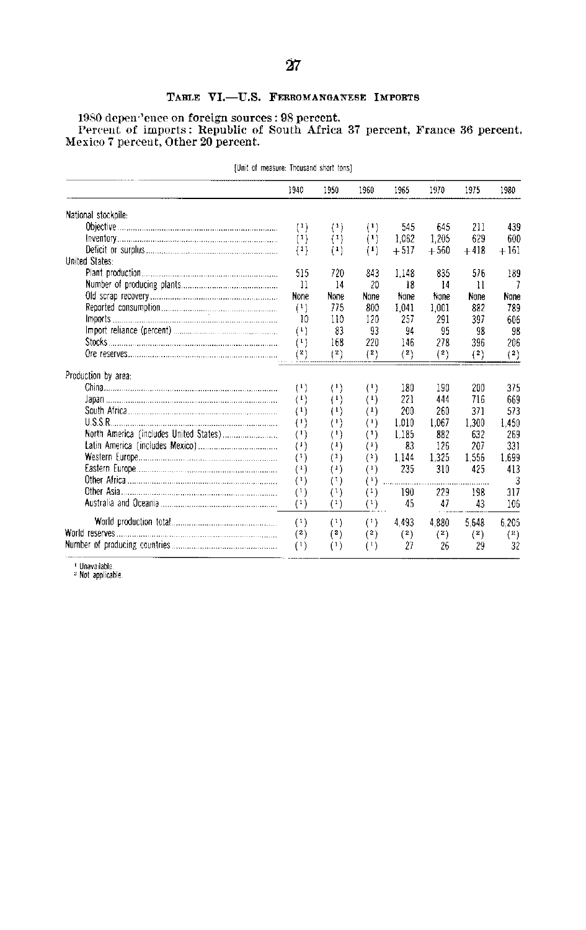## TABLE VI.-U.S. FERROMANGANESE IMPORTS

**1980** depen,'ence on foreign sources: **98** percent. Percent of imports: Republic of South Africa **37** percent, France **36** percent, Mexico 7 percent, Other 20 percent.

|                       | 1940                         | 1950                | 1960                                            | 1965                                            | 1970     | 1975         | 1980     |
|-----------------------|------------------------------|---------------------|-------------------------------------------------|-------------------------------------------------|----------|--------------|----------|
| National stockpile:   |                              |                     |                                                 |                                                 |          |              |          |
|                       | $(1)$                        | $^{(1)}$            | $^{(1)}$                                        | 545                                             | 645      | 211          | 439      |
|                       | (1)                          | (1)                 | $^{(1)}$                                        | 1.062                                           | 1.205    | 629          | 600      |
|                       | (1)                          | $^{(1)}$            | $^{(1)}$                                        | $+517$                                          | $+560$   | $+418$       | $+161$   |
| <b>United States:</b> |                              |                     |                                                 |                                                 |          |              |          |
|                       | 515                          | 720                 | 843                                             | 1.148                                           | 835      | 576          | 189      |
|                       | 11                           | 14                  | 20                                              | 18                                              | 14       | $\mathbf{1}$ | 7        |
|                       | None                         | None                | None                                            | None                                            | None     | None         | None     |
|                       | $^{(1)}$                     | 775                 | 800                                             | 1.041                                           | 1.001    | 882          | 789      |
|                       | 10                           | 110                 | 120                                             | 257                                             | 291      | 397          | 606      |
|                       | (1)                          | 83                  | 93                                              | 94                                              | 95       | 98           | 98       |
|                       | $\left( \frac{1}{2} \right)$ | 168                 | 220                                             | 146                                             | 278      | 396          | 206      |
|                       | $^{\rm (2)}$                 | $^{\rm (2)}$        | (2)                                             | $\left( \begin{array}{c} 2 \end{array} \right)$ | (2)      | $^{\rm (2)}$ | $(^{2})$ |
| Production by area:   |                              |                     |                                                 |                                                 |          |              |          |
|                       | $^{(1)}$                     | $^{(1)}$            | $^{(1)}$                                        | 180                                             | 190      | 200          | 375      |
|                       | $^{(1)}$                     | (+)                 | $^{(1)}$                                        | 221                                             | 444      | 716          | 669      |
|                       | $^{(1)}$                     | (1)                 | $\left( \mathbf{1}\right)$                      | 200                                             | 260      | 371          | 573      |
| USSR                  | $^{(1)}$                     | 9                   | $^{\prime\prime}$                               | 1.010                                           | 1.067    | 1,300        | 1.450    |
|                       | $^{(1)}$                     | $^{\left(1\right)}$ | $^{(1)}$                                        | 1.185                                           | 882      | 632          | 269      |
|                       | $^{(1)}$                     | $\left(1\right)$    | (*)                                             | 83                                              | 126      | 207          | 331      |
|                       | (1)                          | $^{\rm (1)}$        | $^{\rm (1)}$                                    | 1.144                                           | 1.325    | 1.556        | 1.699    |
|                       | $^{\scriptscriptstyle (1)}$  | ( 1 )               | $^{\left(1\right)}$                             | 235                                             | 310      | 425          | 413      |
|                       | $^{(1)}$                     | (1)                 | $\left( \begin{array}{c} 1 \end{array} \right)$ |                                                 |          |              | 3        |
|                       | (1)                          | $^{(1)}$            | $^{(1)}$                                        | 190                                             | 229      | 198          | 317      |
|                       | $^{(1)}$                     | $^{\left(1\right)}$ | $^{\left( 1\right) }$                           | 45                                              | 47       | 43           | 106      |
|                       | (1)                          | (1)                 | $^{\left( 1\right) }$                           | 4.493                                           | 4.880    | 5.648        | 6.205    |
|                       | (2)                          | [2]                 | $^{(2)}$                                        | $^{(2)}$                                        | $^{(2)}$ | $2$          | $^{(2)}$ |
|                       | (1)                          | $\left(1\right)$    | (1)                                             | 27                                              | 26       | 29           | 32       |

[Unit of measure: Thousand short tons]

<sup>r</sup> Unavailable.<br><sup>2</sup> Not applicable.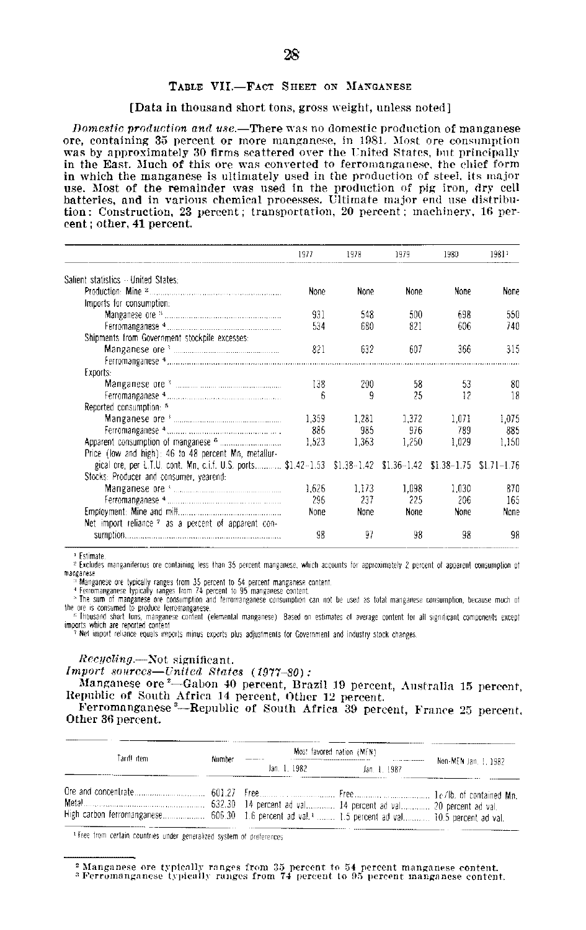#### **TABLE VII.-FACT** SHEET **ON MANGANESE**

#### [Data in thousand short tons, gross weight, unless noted]

*Domestic production and use.*—There was no domestic production of manganese ore, containing **35** percent or more manganese, in **1981.** Most ore consumption was **by** approximately **30** firms scattered over the United States, but principally in the East. Much of this ore was converted to ferromanganese, the chief form in which the manganese is ultimately used in the production of steel, its major use. Most of the remainder was used in the production of **pig** iron, dry cell batteries, and in various chemical processes. Ultimate major end use **distribu** tion: Construction, **23** percent; transportation. 20 percent; machinery, **16** per cent; other, 41 percent.

|                                                                                                                | 1977        | 1978  | 1979        | 1980  | 19811          |
|----------------------------------------------------------------------------------------------------------------|-------------|-------|-------------|-------|----------------|
| Salient statistics - United States:                                                                            |             |       |             |       |                |
|                                                                                                                | <b>None</b> | None  | None        | None  | None           |
| Imports for consumption.                                                                                       |             |       |             |       |                |
|                                                                                                                | 931         | 548   | 500         | 698   | 550            |
|                                                                                                                | 534         | 680   | 821         | 606   | 740            |
| Shipments from Government stockpile excesses:                                                                  |             |       |             |       |                |
|                                                                                                                | 821         | 632   | 607         | 366   | 315            |
|                                                                                                                |             |       |             |       |                |
| Exports:                                                                                                       |             |       |             |       |                |
|                                                                                                                | 138         | 200   | 58          | 53    | 80             |
|                                                                                                                | 6           | 9     | 25          | 12    | 18             |
| Reported consumption: 5                                                                                        |             |       |             |       |                |
|                                                                                                                | 1.359       | 1.281 | 1.372       | 1.071 | 1,075          |
|                                                                                                                | 886         | 985   | 976         | 789   | 885            |
|                                                                                                                | 1.523       | 1.363 | 1,250       | 1.029 | 1,150          |
| Price (low and high): 46 to 48 percent Mn, metallur-                                                           |             |       |             |       |                |
| gical ore, per L.T.U. cont. Mn, c.i.f. U.S. ports \$1.42-1.53 \$1.38-1.42 \$1.36-1.42 \$1.38-1.75              |             |       |             |       | $$1.71 - 1.76$ |
| Stocks: Producer and consumer, yearend:                                                                        |             |       |             |       |                |
| Manganese ore Suppose the manufacturer of the Manganese ore Suppose that the manufacturer and the Manufacturer | 1.626       | 1.173 | 1.098       | 1.030 | 870            |
|                                                                                                                | 296         | 237   | 225         | 206   | 165            |
|                                                                                                                | None        | None  | <b>None</b> | None  | None           |
| Net import reliance ? as a percent of apparent con-                                                            |             |       |             |       |                |
|                                                                                                                | 98          | 97    | 98          | 98    | 98             |

Estimate

<sup>2</sup> Excludes manganiferous ore containing less than 35 percent manganese, which accounts for approximately 2 percent of apparent consumption of Ma'ganese

<sup>ts</sup> Manganese ore typically ranges from 35 percent to 54 percent manganese content.<br>\* Manganese typically ranges from 74 percent to 95 manganese content.<br>\* The sum of manganese ore consumption and ferromanganese consumpti the ore is consumed to produce ferromanganese

<sup>6</sup> Thousand short lons, manganese content (elemental manganese). Based on estimates of average content for all significant components except<br>imports which are reported content

<sup>7</sup> Net import reliance equals imports minus exports plus adjustments for Government and industry stock changes.

*Rccycling.-Not* significant.

*Import sources-United States (1977-SO):* 

Manganese ore2-Gabon 40 percent, Brazil **19** percent, Australia **15** percent, Republic of South Africa **14** percent, Other 12 percent.

Ferromanganese '--Republic of South Africa **39** percent, France **25** percent. Other **36** percent.

|                                                                                                                                      |  | Most favored nation (MFN) |                      |  |
|--------------------------------------------------------------------------------------------------------------------------------------|--|---------------------------|----------------------|--|
| Tariff item.<br>Number<br>High carbon ferromanganese 606.30 1.6 percent ad val. <sup>1</sup> 1.5 percent ad val 10.5 percent ad val. |  | Jan. 1, 1987              | Non-MEN 3an, 1, 1982 |  |
|                                                                                                                                      |  |                           |                      |  |

Free from certain countries under generalized system of oreferences

<sup>2</sup>Manganese ore typicatly ranges from **35** percent to 54 percent manganese content. • Perromanganese **typically** ranges from 74 percent to **95** percent manganese content.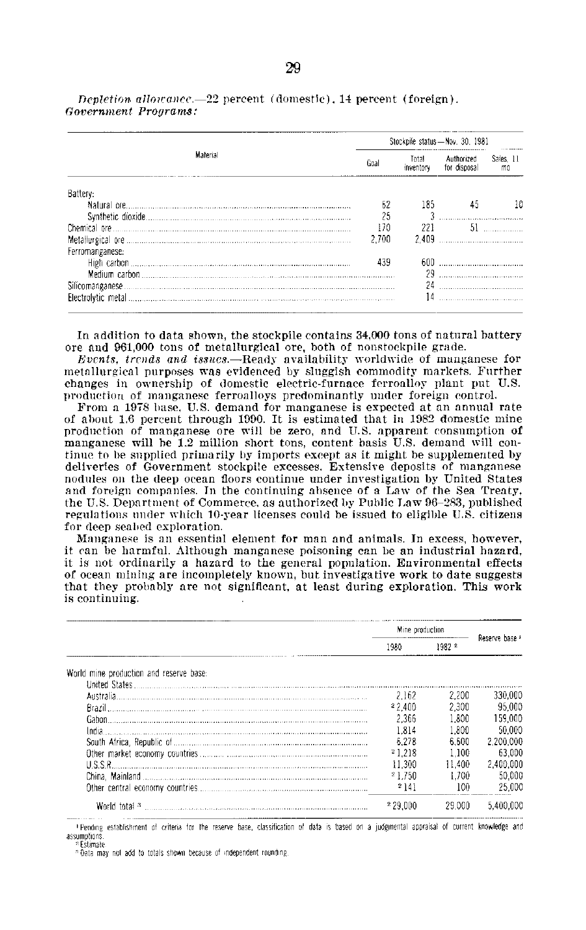|                  |       |       | Stockpile status-Nov. 30, 1981 | <b>1111 1000 0000</b> |
|------------------|-------|-------|--------------------------------|-----------------------|
| Material         | Goal  |       | Authorized<br>for disposal     | Sales, 11<br>mo       |
| Battery:         |       |       |                                |                       |
|                  |       | 185   |                                | 10                    |
|                  |       |       |                                |                       |
|                  | 170   | 221   | 51                             |                       |
|                  | 2.700 | 2.409 |                                |                       |
| Ferromanganese:  |       |       |                                |                       |
|                  | 439   |       |                                |                       |
|                  |       |       |                                |                       |
| Silicomanganese. |       | 24    |                                |                       |
|                  |       | 14    |                                |                       |

*Depletion. allowance.-22* percent (domestic). 14 percent (foreign). *Government Programs:* 

In addition to data shown, the stockpile contains 34,000 tons of natural battery ore and 961,000 tons of metallurgical ore, both of nonstockpile grade.

*Events, trends and issues.-Ready* availability worldwide of manganese for metallurgical purposes was evidenced **by** sluggish commodity markets. Further changes in ownership of domestic electric-furnace ferroalloy plant put U.S. production of manganese ferroalloys predominantly under foreign control.

From a 1978 base, U.S. demand for manganese is expected at an annual rate of about **1.6** percent through 1990. It is estimated that in 1982 domestic mine production of manganese ore will be zero, and U.S. apparent consumption of manganese will be 1.2 million short tons, content basis U.S. demand will con tinue to be supplied primarily **by** imports except as it might be supplemented by deliveries of Government stockpile excesses. Extensive deposits of manganese nodules on the deep ocean floors continue under investigation by United States and foreign companies. In the continuing absence of a Law of the Sea Treaty, the **U.S.** Department of Commerce, as authorized by Public Law **96-283,** published regulations under which 10-year licenses could be issued to eligible U.S. citizens for deep seabed exploration.

Manganese is an essential element for man and animals. In excess, however, it *can* be harmful. Although manganese poisoning can le an industrial hazard, it is not ordinarily a hazard to the general population. Environmental effects of ocean mining are incompletely known, but investigative work to date suggests that they probably are not significant, at least during exploration. This work is continuing.

|                                         | Mine production |        |                           |
|-----------------------------------------|-----------------|--------|---------------------------|
|                                         | 1980.           | 1982 2 | Reserve base <del>'</del> |
| World mine production and reserve base: |                 |        |                           |
|                                         |                 |        |                           |
| Australia                               | 2.162           | 2.200  | 330,000                   |
|                                         | 22.400          | 2.300  | -95.000                   |
|                                         | 2.366           | 1.800  | 159.000                   |
|                                         | 1.814           | 1.800  | 50.000                    |
|                                         | 6.278           | 6.600  | 2.200.000                 |
|                                         | 21.218          | 1.100  | 63.000                    |
| <b>USSR</b>                             | 11.300          | 11.400 | 2.400.000                 |
|                                         | 21.750          | 1.700  | 50.000                    |
|                                         | 214             | 100.   | 25 DDO                    |
| World total 3                           |                 | 29 DON |                           |

IPending establishment of criteria for the reserve base, classification of data is based on a judgmental appraisal of current knowledge and assumptions Estimate

Data may not add to totals shown because of independent rounding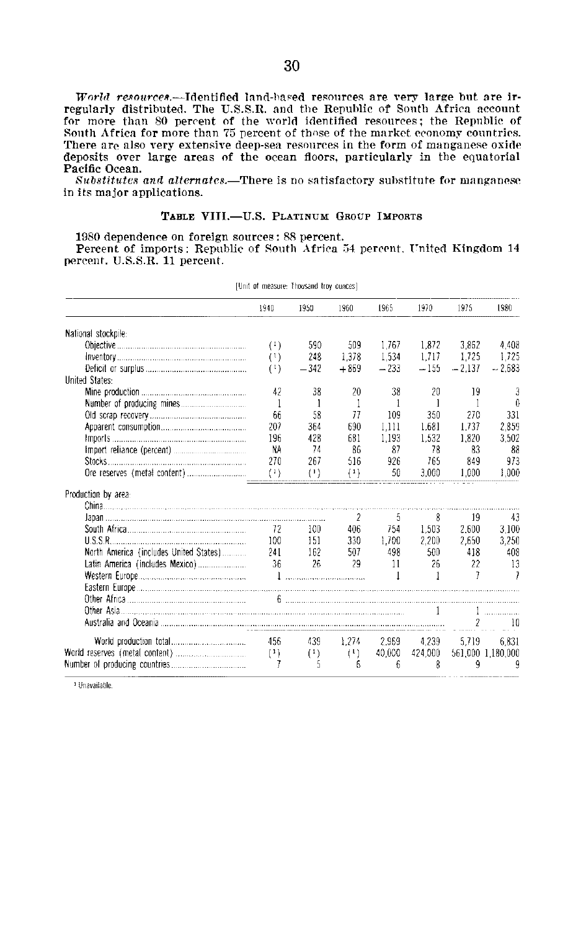*World resources.*---Identified land-hased resources are very large but are irregularly distributed. The **U.S.S.R.** and the Republic **of** South Africa account for more than **80** percent of the world identified resources; the Republic of South Africa for more than **75** percent of those of the market economy countries. There are also very extensive deep-sea resources in the form of manganese oxide deposits over large areas of the ocean floors, particularly in the equatorial Pacific Ocean.

*Substitutcs and alternates.-There* **is** no satisfactory substitute for manganese in its major applications.

#### **TABLE** VIII.-U.S. PLATINUM **GROUP IMPORTS**

**1980 dependence on foreign sources: 88 percent.** 

Percent of imports: Republic of South  $\rm A$ frica 54 percent, United Kingdom 14 percent. **U.S.S.R. 11** percent.

|                                        | 1940     | 1950                                            | 1960   | 1965          | 1970    | 1975     | 1980              |
|----------------------------------------|----------|-------------------------------------------------|--------|---------------|---------|----------|-------------------|
| National stockpile:                    |          |                                                 |        |               |         |          |                   |
|                                        | $^{(1)}$ | 590                                             | 509    | 1.767         | 1.872   | 3.862    | 4.408             |
|                                        | (1)      | 248                                             | 1.378  | 1,534         | 1.717   | 1.725    | 1.725             |
|                                        | (1)      | $-342$                                          | $+869$ | $-233$        | $-155$  | $-2.137$ | $-2,683$          |
| <b>United States:</b>                  |          |                                                 |        |               |         |          |                   |
|                                        | 42       | 38                                              | 20     | 38            | 20      | 19       | 3                 |
|                                        | 1        | 1                                               | 1      | Ł             | 1       |          | 0                 |
|                                        | 66       | 58                                              | 77     | 109           | 350     | 270      | 331               |
|                                        | 207      | 364                                             | 690    | 1,111         | 1.681   | 1.737    | 2.859             |
|                                        | 196      | 428                                             | 681    | 1.193         | 1.532   | 1.820    | 3.502             |
|                                        | NA       | 74                                              | 86     | 87            | 78      | 83       | 88                |
|                                        | 270      | 267                                             | 516    | 926           | 765     | 849      | 973               |
|                                        | (1)      | (1)                                             | (1)    | 50            | 3.000   | 1.000    | 1.000             |
| Production by area:                    |          |                                                 |        |               |         |          |                   |
|                                        |          |                                                 |        |               |         |          |                   |
|                                        |          |                                                 | 2      | 5             | 8       | 19       | 43                |
| South Africa                           | 72       | -100                                            | 406    | 754           | 1.503   | 2.600    | 3.100             |
|                                        | 100      | -151                                            | 330    | 1,700         | 2,200   | 2,650    | 3,250             |
| North America (includes United States) | 241      | -162                                            | 507    | 498           | 500     | 418      | 408               |
| Latin America (includes Mexico)        | 36       | 26                                              | 29     | 11            | 26      | 22       | -13               |
| Western Europe                         |          |                                                 |        | $\mathbf{1}$  | T       | 7        | 7                 |
|                                        |          |                                                 |        |               |         |          |                   |
|                                        |          |                                                 |        |               |         |          |                   |
|                                        |          |                                                 |        |               |         |          |                   |
|                                        |          |                                                 |        |               |         |          | 10                |
|                                        | 456      | 439                                             |        | $1.274$ 2.969 | 4.239   | 5.719    | 6.831             |
|                                        | (1)      | $\left( \begin{array}{c} 1 \end{array} \right)$ | (1)    | 40.000        | 424,000 |          | 561.000 1.180.000 |
|                                        | 7        | 5                                               | 6      | fi            | 8       | 9        | 9                 |

[Unit of measure Thousand troy ounces]

<sup>1</sup> Unavailable.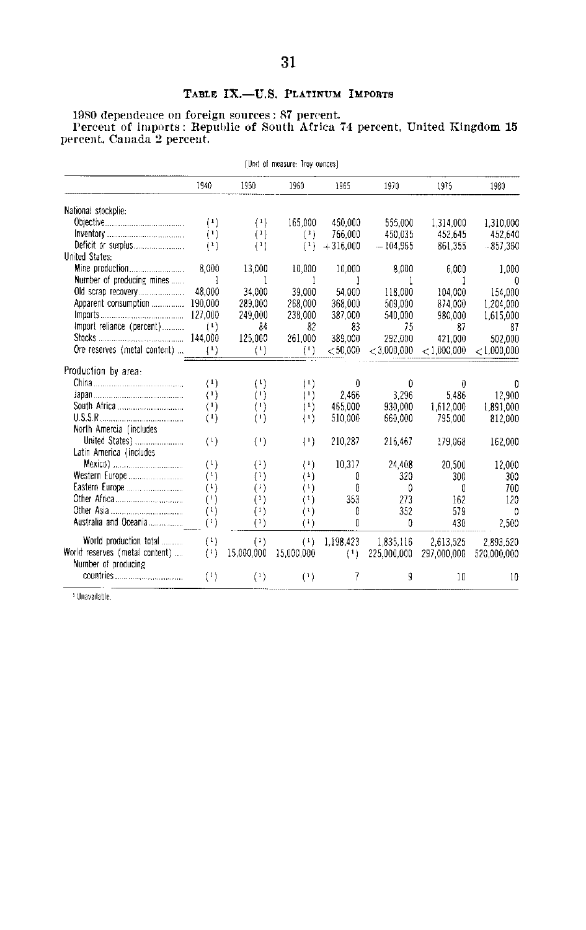## **TABLE IX.-U.S. PLATINUM IMPORTS**

**1980** dependence on foreign sources: **87** percent. Percent of imports: Republic of South Africa 74 percent, United Kingdom **<sup>15</sup>** percent, Canada 2 percent.

| [Unit of measure: Troy ounces]                        |                          |                                                 |                                                 |              |               |               |             |  |  |  |  |
|-------------------------------------------------------|--------------------------|-------------------------------------------------|-------------------------------------------------|--------------|---------------|---------------|-------------|--|--|--|--|
|                                                       | 1940                     | 1950                                            | 1960                                            | 1965         | 1970          | 1975          | 1980        |  |  |  |  |
| National stockplie:                                   |                          |                                                 |                                                 |              |               |               |             |  |  |  |  |
|                                                       | (1)                      | (1)                                             | 165.000                                         | 450.000      | 555.000       | 1,314,000     | 1.310.000   |  |  |  |  |
|                                                       | (1)                      | (1)                                             | (1)                                             | 766.000      | 450.035       | 452.645       | 452.640     |  |  |  |  |
|                                                       | (1)                      | (1)                                             | (1)                                             | $+316.000$   | $-104,965$    | 861.355       | $-857.360$  |  |  |  |  |
| <b>United States:</b>                                 |                          |                                                 |                                                 |              |               |               |             |  |  |  |  |
|                                                       | 8.000                    | 13,000                                          | 10,000                                          | 10,000       | 8.000         | 6.000         | 1.000       |  |  |  |  |
| Number of producing mines                             | $\overline{\phantom{a}}$ | 1                                               | 1                                               | -1           | -1            | 1             | $\theta$    |  |  |  |  |
|                                                       | 48.000                   | 34,000                                          | 39,000                                          | 54 000       | 118,000       | 104.000       | 154.000     |  |  |  |  |
| Apparent consumption  190,000                         |                          | 289,000                                         | 268,000                                         | 368 000      | 509,000       | 874.000       | 1.204.000   |  |  |  |  |
|                                                       |                          | 249,000                                         | 238,000                                         | 387,000      | 540,000       | 980.000       | 1,615,000   |  |  |  |  |
| Import reliance (percent)                             | (1)                      | 84                                              | 82                                              | 83           | 75            | 87            | 87          |  |  |  |  |
|                                                       |                          | 125,000                                         | 261,000                                         | 389,000      | 292.000       | 421.000       | 502.000     |  |  |  |  |
| Ore reserves (metal content)                          | (1)                      | (1)                                             | $(\cdot)$                                       | $<$ 50 000   | $<$ 3.000.000 | $<$ 1,000,000 | < 1.000.000 |  |  |  |  |
|                                                       |                          |                                                 |                                                 |              |               |               |             |  |  |  |  |
| Production by area:                                   |                          |                                                 |                                                 |              |               |               |             |  |  |  |  |
|                                                       | $^{(1)}$                 | (1)                                             | (1)                                             | $\mathbf{0}$ | $\Omega$      | $\bf{0}$      | 0           |  |  |  |  |
|                                                       | $^{(1)}$                 | $\left( \cdot \right)$                          | $(\cdot)$                                       | 2.466        | 3,296         | 5.486         | 12.900      |  |  |  |  |
|                                                       | $^{(1)}$                 | (1)                                             | (1)                                             | 465.000      | 930.000       | 1,612,000     | 1.891.000   |  |  |  |  |
|                                                       | $^{(1)}$                 | $\left( \begin{array}{c} 1 \end{array} \right)$ | (1)                                             | 510.000      | 660,000       | 795.000       | 812,000     |  |  |  |  |
| North Amercia (includes                               |                          |                                                 |                                                 |              |               |               |             |  |  |  |  |
| United States)                                        | (1)                      | $^{(1)}$                                        | $(\cdot)$                                       | 210.287      | 216,467       | 179.068       | 162,000     |  |  |  |  |
| Latin America (includes                               |                          |                                                 |                                                 |              |               |               |             |  |  |  |  |
|                                                       | $^{(1)}$                 | $^{(1)}$                                        | $\left( \cdot \right)$                          | 10,317       | 24,408        | 20.500        | 12,000      |  |  |  |  |
|                                                       | $^{(1)}$                 | (1)                                             | $^{(1)}$                                        | ۵            | 320           | 300           | 300         |  |  |  |  |
|                                                       | $^{(1)}$                 | (1)                                             | $^{(1)}$                                        | 0            | D             | 0             | 700         |  |  |  |  |
|                                                       | $^{\left(1\right)}$      | $^{(1)}$                                        | (1)                                             | 353          | 273           | 162           | 120         |  |  |  |  |
| Other Asia                                            | $^{(1)}$                 | $^{(1)}$                                        | $^{(1)}$                                        | 0            | 352           | 579           | 0           |  |  |  |  |
| Australia and Oceania                                 | (1)                      | $^{(1)}$                                        | $^{(1)}$                                        | O            | ß             | 430           | 2,500       |  |  |  |  |
|                                                       |                          |                                                 |                                                 |              |               |               |             |  |  |  |  |
| World production total                                | (1)                      | (1)                                             | $\left( \begin{array}{c} 1 \end{array} \right)$ | 1,198,423    | 1.835,116     | 2.613.525     | 2.893.520   |  |  |  |  |
| World reserves (metal content)<br>Number of producing | (1)                      | 15.000.000                                      | 15,000,000                                      | (1)          | 225,000,000   | 297,000,000   | 520,000,000 |  |  |  |  |
|                                                       | $^{(1)}$                 | $\left( \begin{array}{c} 1 \end{array} \right)$ | (1)                                             | 7            | g             | 10            | 10          |  |  |  |  |

<sup>1</sup> Unavailable.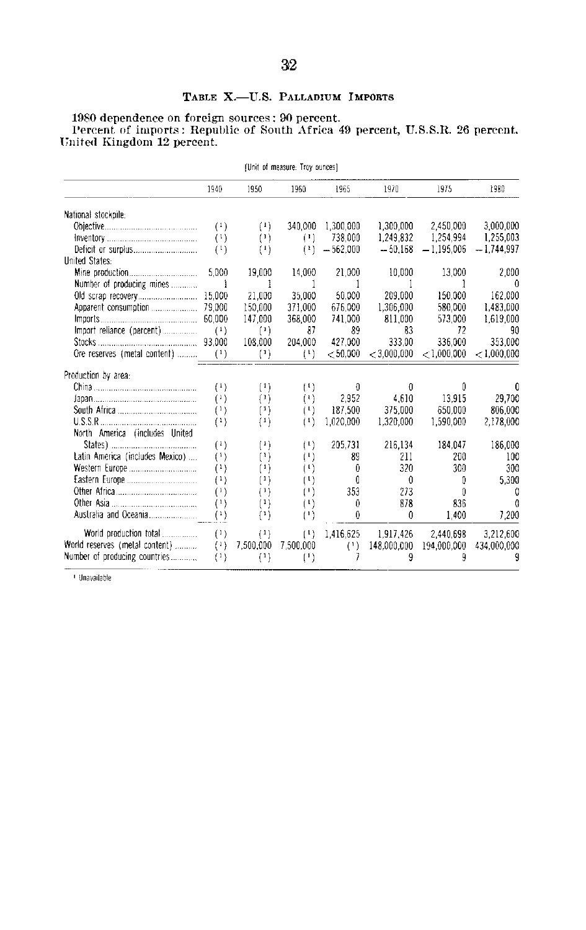## TABLE X.-U.S. PALLADIUM IMPORTS

1980 dependence on foreign sources : 90 percent.<br>Percent of imports : Republic of South Africa 49 percent, U.S.S.R. 26 percent.<br>United Kingdom 12 percent.

| (Unit of measure: Troy ounces)  |                                                 |                       |           |            |               |               |               |  |  |  |  |
|---------------------------------|-------------------------------------------------|-----------------------|-----------|------------|---------------|---------------|---------------|--|--|--|--|
|                                 | 1940                                            | 1950                  | 1960      | 1965       | 1970          | 1975          | 1980          |  |  |  |  |
| National stockpile:             |                                                 |                       |           |            |               |               |               |  |  |  |  |
|                                 | $^{(1)}$                                        | $^{(1)}$              | 340.000   | 1.300.000  | 1,300,000     | 2,450,000     | 3.000.000     |  |  |  |  |
|                                 | (1)                                             | $^{(1)}$              | (1)       | 738.000    | 1,249,832     | 1,254.994     | 1,255,003     |  |  |  |  |
|                                 | (1)                                             | $^{(1)}$              | $\{1\}$   | $-562.000$ | $-50.168$     | $-1,195,006$  | $-1.744.997$  |  |  |  |  |
| United States:                  |                                                 |                       |           |            |               |               |               |  |  |  |  |
|                                 | 5.000                                           | 19,000                | 14,000    | 21,000     | 10,000        | 13,000        | 2,000         |  |  |  |  |
| Number of producing mines       | -1                                              | 1                     | 1         |            |               |               | 0             |  |  |  |  |
|                                 |                                                 | 21.000                | 35,000    | 50.000     | 209.000       | 150.000       | 162.000       |  |  |  |  |
|                                 |                                                 | 150,000               | 371.000   | 676.000    | 1.306.000     | 580.000       | 1.483.000     |  |  |  |  |
|                                 |                                                 | 147,000               | 368,000   | 741.000    | 811.000       | 573.000       | 1,619,000     |  |  |  |  |
| Import reliance (percent)       | (1)                                             | (1)                   | 87        | 89         | 83            | 72            | 90            |  |  |  |  |
|                                 |                                                 | 108.000               | 204.000   | 427.000    | 333.00        | 336.000       | 353.000       |  |  |  |  |
| Ore reserves (metal content)    | (1)                                             | (1)                   | (1)       | < 50.000   | $<$ 3,000,000 | $<$ 1,000,000 | $<$ 1.000.000 |  |  |  |  |
| Production by area:             |                                                 |                       |           |            |               |               |               |  |  |  |  |
|                                 | $^{(1)}$                                        | $^{(1)}$              | (1)       | $\theta$   | $\theta$      | 0             | 0             |  |  |  |  |
|                                 | $^{(1)}$                                        | (1)                   | (1)       | 2.952      | 4.610         | 13 915        | 29,700        |  |  |  |  |
|                                 | (1)                                             | $^{(1)}$              | (1)       | 187.500    | 375,000       | 650.000       | 806.000       |  |  |  |  |
|                                 | (1)                                             | (1)                   | (1)       | 1,020,000  | 1,320,000     | 1,590,000     | 2,178,000     |  |  |  |  |
| North America (includes United  |                                                 |                       |           |            |               |               |               |  |  |  |  |
|                                 | (1)                                             | $^{(1)}$              | (1)       | 205.731    | 216,134       | 184.047       | 186,000       |  |  |  |  |
| Latin America (includes Mexico) | $^{(1)}$                                        | $^{\left( 1\right) }$ | (1)       | 89         | 211           | 200           | 100           |  |  |  |  |
|                                 | $^{(1)}$                                        | $^{\left(1\right)}$   | (1)       | 0          | 320           | 300           | 300           |  |  |  |  |
|                                 | $^{(1)}$                                        | $^{(1)}$              | (1)       | 0          | $\Omega$      | 0             | 5.300         |  |  |  |  |
|                                 | $^{(1)}$                                        | (1)                   | $(\cdot)$ | 353        | 273           | 0             | 0             |  |  |  |  |
|                                 | $\left( \begin{array}{c} 1 \end{array} \right)$ | $^{(1)}$              | (1)       | 0          | 878           | 836           | n             |  |  |  |  |
|                                 | $^{\scriptscriptstyle (1)}$                     | (1)                   | $(\cdot)$ | 0          | $\theta$      | 1,400         | 7,200         |  |  |  |  |
| World production total          | $^{(1)}$                                        | (1)                   | (1)       | 1.416.625  | 1.917.426     | 2.440.698     | 3.212.600     |  |  |  |  |
| World reserves (metal content)  | (1)                                             | 7,500,000             | 7.500,000 | (1)        | 148.000.000   | 194,000,000   | 434,000,000   |  |  |  |  |
| Number of producing countries   | $^{(1)}$                                        | (1)                   | $^{(1)}$  | 7          | 9             | 9             | q             |  |  |  |  |

<sup>+</sup> Unavailable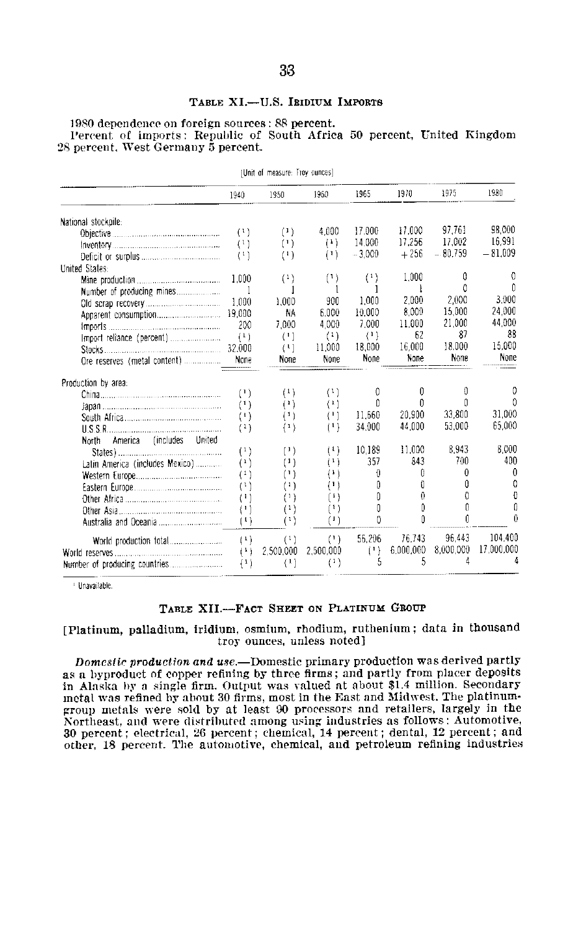#### TABLE XI.-U.S. IRIDIUM IMPORTS

**1980 dependence on foreign sources: 88 percent.**  Percent of imports: Republic of South Africa **50** percent, United Kingdom 28 percent. West Germany **5** percent.

| TURIL OF MEASURE: FROM ANTICEST   |                                                |                                                 |           |          |           |           |            |  |  |  |
|-----------------------------------|------------------------------------------------|-------------------------------------------------|-----------|----------|-----------|-----------|------------|--|--|--|
|                                   | 1940                                           | 1950                                            | 1960      | 1965     | 1970      | 1975      | 1980       |  |  |  |
| National stockpile:               |                                                |                                                 |           |          |           |           |            |  |  |  |
|                                   | (1)                                            | $\{1\}$                                         | 4.000     | 17.000   | 17.000    | 97.761    | 98.000     |  |  |  |
|                                   | (1)                                            | (1)                                             | (1)       | 14,000   | 17.256    | 17,002    | 16.991     |  |  |  |
|                                   | (1)                                            | (1)                                             | (1)       | $-3.000$ | $+256$    | $-80.759$ | $-81.009$  |  |  |  |
| United States.                    |                                                |                                                 |           |          |           |           |            |  |  |  |
|                                   | 1.000                                          | (1)                                             | (1)       | (1)      | 1.000     | 0         | 0          |  |  |  |
| Number of producing mines         | 1                                              | 1                                               | 1         | 1        | ł         | 0         | Û          |  |  |  |
|                                   | 1.000                                          | 1,000                                           | 900       | 1.000    | 2.000     | 2.000     | 3.000      |  |  |  |
|                                   | 19.000                                         | NA                                              | 6.000     | 10.000   | 8,000     | 15,000    | 24,000     |  |  |  |
|                                   | 200                                            | 7.000                                           | 4.000     | 7.000    | 11.000    | 21.000    | 44.000     |  |  |  |
|                                   | (1)                                            | (1)                                             | $^{(1)}$  | $\{1\}$  | 62        | 87        | 88         |  |  |  |
|                                   | 32.000                                         | $\{1\}$                                         | 11.000    | 18,000   | 16.000    | 18.000    | 15,000     |  |  |  |
|                                   | None                                           | None                                            | None      | None     | None      | None      | None       |  |  |  |
| Production by area:               |                                                |                                                 |           |          |           |           |            |  |  |  |
|                                   | (1)                                            | (1)                                             | (1)       | 0        | 0         | 0         | 0          |  |  |  |
|                                   | $^{(1)}$                                       | (1)                                             | $\{1\}$   | Û        | Û         | Û         | n          |  |  |  |
|                                   | $\left(1\right)$                               | (1)                                             | (1)       | 11.660   | 20.900    | 33.800    | 31.000     |  |  |  |
|                                   | (1)                                            | $^{(1)}$                                        | $^{(1)}$  | 34.000   | 44.000    | 53.000    | 65,000     |  |  |  |
| America (includes United<br>North |                                                |                                                 |           |          |           |           |            |  |  |  |
|                                   | (1)                                            | $\left( \begin{array}{c} 1 \end{array} \right)$ | (1)       | 10.189   | 11.000    | 8.943     | 8.000      |  |  |  |
| Latin America (includes Mexico)   | $\left( \begin{matrix} 1 \end{matrix} \right)$ | $\{1\}$                                         | $^{(1)}$  | 357      | 843       | 700       | 400        |  |  |  |
|                                   | (1)                                            | $(\mathsf{I})$                                  | $^{(1)}$  | 0        | θ         | 0         | 0          |  |  |  |
|                                   | $^{(1)}$                                       | $^{(1)}$                                        | $(\cdot)$ | 0        | Û         | 0         | 0          |  |  |  |
|                                   | $^{(1)}$                                       | $^{\left(1\right)}$                             | $^{(1)}$  | 0        | 0         | 0         | Ð          |  |  |  |
|                                   | $^{(1)}$                                       | $^{(1)}$                                        | (1)       | Ō        | Û         | Λ         | θ          |  |  |  |
|                                   | $^{(1)}$                                       | $^{\scriptscriptstyle (1)}$                     | $\{1\}$   | Ď        | Û         | Û         | ß          |  |  |  |
|                                   | (1)                                            | (1)                                             | (1)       | 56.206   | 76.743    | 96.443    | 104,400    |  |  |  |
|                                   | (1)                                            | 2.500.000                                       | 2,500,000 | (1)      | 6,000,000 | 8.000.000 | 17 000,000 |  |  |  |
|                                   | (1)                                            | $\left( \begin{array}{c} 1 \end{array} \right)$ | $^{(1)}$  | 5        | 5         | 4         | Δ          |  |  |  |

[Unit of measure. Troy ounces]

**I** Unavailable

#### **TABLE XII.-FACT SHEET ON PLATINUM GROUP**

**[Platinum, palladium, iridium, osmium, rhodium, ruthenium; data in thousand**  troy ounces, unless noted]

*Domcstic production and use.-Domestic* primary production was derived partly **as** a byproduct of copper refining **by** three firms; and partly from placer deposits in Alaska **by a** single firm. Output was valued at about \$1.4 million. Secondary metal was refined **by** about **30** firms, most in the East and Midwest. The platinum group metals were sold **by** at least **90** processors and retailers, largely in the Northeast, and were distributed among using industries as follows: Automotive, **30** percent; electrical, 26 percent; chemical, 14 percent; dental, 12 percent; and other, **18** percent. The automotive, chemical, and petroleum refining industries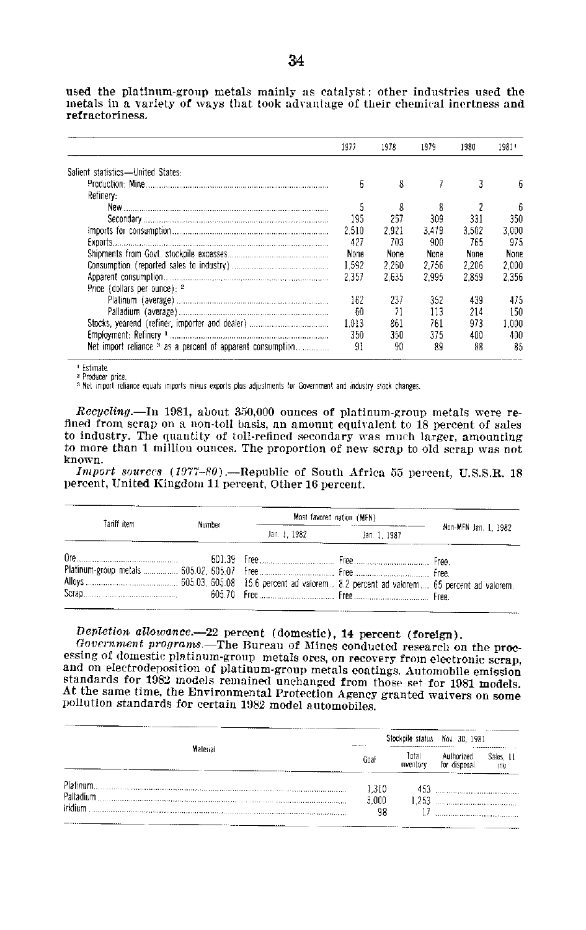used the platinum-group metals mainly as catalyst; other industries used the metals in a variety of ways that took advantage of their chemical inertness and refractoriness.

|                                                                       | 1977  | 1978  | 1979  | 1980  | 1981  |
|-----------------------------------------------------------------------|-------|-------|-------|-------|-------|
| Salient statistics-United States:                                     |       |       |       |       |       |
|                                                                       | 6     | 8     |       |       |       |
| Refinery:                                                             |       |       |       |       |       |
|                                                                       | 5     | 8     |       |       |       |
|                                                                       | 195   | 257   | 309   | 331   | 350   |
|                                                                       | 2.510 | 2.921 | 3.479 | 3.502 | 3.000 |
|                                                                       | 427   | 703   | 900   | 765   | 975   |
|                                                                       | None  | None  | None  | None  | None  |
|                                                                       | 1.592 | 2.260 | 2.756 | 2.206 | 2.000 |
|                                                                       | 2.357 | 2.635 | 2.995 | 2.859 | 2.356 |
| Price (dollars per ounce): 2                                          |       |       |       |       |       |
|                                                                       | 162   | 237   | 352   | 439   | 475   |
|                                                                       | 60    |       | 113   | 214   | 150   |
|                                                                       | 1.013 | 861   | 761   | 973   | 1.000 |
|                                                                       | 350   | 350   | 375   | 400   | 400   |
| Net import reliance <sup>3</sup> as a percent of apparent consumption | 91    | 90    | 89    | 88    | 85    |

1 Fefimate

<sup>2</sup> Producer price

<sup>3</sup> Net import reliance equals imports minus exports plus adjustments for Government and industry stock changes.

Recycling.-In 1981, about 350,000 ounces of platinum-group metals were refined from scrap on a non-toll basis, an amount equivalent to 18 percent of sales to industry. The quantity of toll-refined secondary was much larger, amounting to more than 1 million ounces. The proportion of new scrap to old scrap was not known.

Import sources (1977-80). - Republic of South Africa 55 percent, U.S.S.R. 18 percent, United Kingdom 11 percent, Other 16 percent.

| Tariff item | Number | Most favored nation (MFN) |              |                      |  |
|-------------|--------|---------------------------|--------------|----------------------|--|
|             |        |                           | Jan. 1, 1987 | Non-MFN Jan. 1, 1982 |  |
|             |        |                           |              |                      |  |

## Depletion allowance.--22 percent (domestic), 14 percent (foreign).

Government programs.—The Bureau of Mines conducted research on the processing of domestic platinum-group metals ores, on recovery from electronic scrap, and on electrodeposition of platinum-group metals coatings. Automobile emission standards for 1982 models remained unchanged from those set for 1981 models. At the same time, the Environmental Protection Agency granted waivers on some pollution standards for certain 1982 model automobiles.

|                |       | Stockpile status - Nov. 30, 1981 |                            |                 |  |  |
|----------------|-------|----------------------------------|----------------------------|-----------------|--|--|
| Material       | Goal  | Total<br>inventory               | Authorized<br>for disposal | Sales, 11<br>ma |  |  |
|                | 1.310 | 453                              |                            |                 |  |  |
| Palladium      | 3,000 |                                  |                            |                 |  |  |
| <b>iridium</b> | 98    |                                  |                            |                 |  |  |
|                |       |                                  |                            |                 |  |  |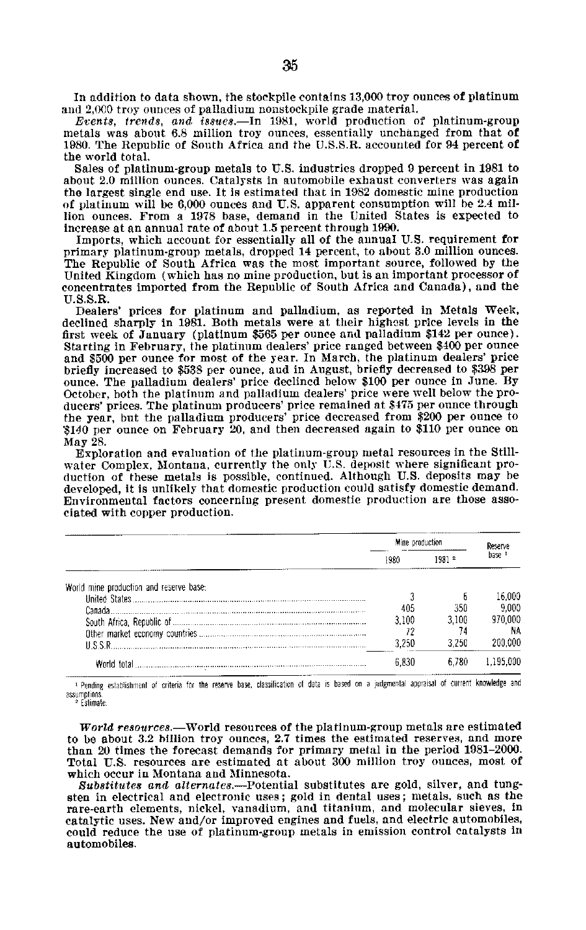In addition to data shown, the stockpile contains 13,000 troy ounces of platinum and 2,000 troy ounces of palladium nonstockpile grade material.

*Events, trends, and issue.-In* **1981,** world production of platinum-group metals was about **6.8** million troy ounces, essentially unchanged from that of **1980.** The Republic of South Africa and the **U.S.S.R.** accounted for 94 percent of the world total.

Sales of platinum-group metals to **U.S.** industries dropped **9** percent in **1981** to about 2.0 million ounces. Catalysts in automobile exhaust converters was again the largest single end use. It is estimated that in **1982** domestic mine production of platinum will **be 6,000** ounces and **U.S.** apparent consumption will be 2.4 mil lion ounces. From a **1978** base, demand in the United States is expected to increase at an annual rate of about **1.5** percent through **1990.** 

Imports, which account for essentially all of the annual **U.S.** requirement for primary platinum-group metals, dropped 14 percent, to about **3.0** million ounces. The Republic of South Africa was the most important source, followed **by** the United Kingdom (which has no mine production, but is an important processor of concentrates imported from the Republic of South Africa and Canada), and the U.S.S.R.

Dealers' prices for platinum and palladium, as reported in Metals Week, declined sharply in 1981. Both metals were at their highest price levels in the first week of January (platinum \$565 per ounce and palladium \$142 per ounce). Starting in February, the platinum dealers' price ranged between \$400 per ounce and \$500 per ounce for most of the year. In March, the platinum dealers' price briefly increased to \$538 per ounce, and in August, briefly decreased to **\$398** per ounce. The palladium dealers' price declined below \$100 per ounce in June. By October, both the platinum and palladium dealers' price were well below the pro ducers' prices. The platinum producers' price remained at \$475 per ounce through the year, but the palladium producers' price decreased from \$200 per ounce to \$140 per ounce on February 20, and then decreased again to \$110 per ounce on May 28.

Exploration and evaluation of the platinum-group metal resources in the Still water Complex, Montana, currently the only U.S. deposit where significant pro duction of these metals is possible, continued. Although U.S. deposits may be developed, it is unlikely that domestic production could satisfy domestic demand. Environmental factors concerning present domestic production are those asso ciated with copper production.

|                                         |       | Mine production |                   |
|-----------------------------------------|-------|-----------------|-------------------|
|                                         | 1980  | 19812           | base <sup>1</sup> |
| World mine production and reserve base: |       |                 |                   |
|                                         |       |                 | 16.000            |
|                                         | 405   | 350             | 9.000             |
|                                         | 3.100 | 3.100           | 70 OOC            |
|                                         |       |                 | ΝA                |
| 122 L                                   | 3 250 |                 |                   |
|                                         | 6 830 |                 | 195.00P           |

Pending establishment of criteria for the reserve base, classification of data is based on a judgmental appraisal of current knowledge and assumptions.

<sup>2</sup> Estimate

*World resource.-World* resources of the platinum-group metals are estimated to be about 3.2 billion troy ounces, 2.7 times the estimated reserves, and more than 20 times the forecast demands for primary metal in the period 1981-2000. Total U.S. resources are estimated at about 300 million troy ounces, most of which occur in Montana and Minnesota.

*Substitutes and* alternates.-Potential substitutes are gold, silver, and tung sten in electrical and electronic uses; gold in dental uses; metals, such as the rare-earth elements, nickel, vanadium, and titanium, and molecular sieves, in catalytic uses. New and/or improved engines and fuels, and electric automobiles, could reduce the use of platinum-group metals in emission control catalysts in automobiles.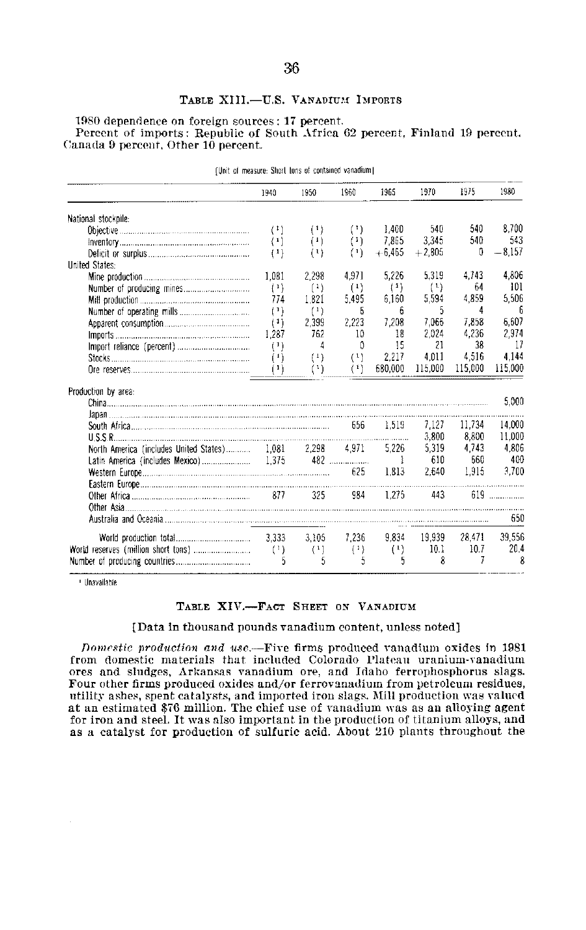## **TABLE** XIII.-U.S. **VANADIUM.1** IMPORTS

**1980** dependence on foreign sources: **17** percent. Percent of imports: Republic of South Africa **62** percent, Finland **19** percent, Canada **9** percent. Other **10** percent.

|                                                          | 1940                                            | 1950                                            | 1960     | 1965     | 1970     | 1975    | 1980            |
|----------------------------------------------------------|-------------------------------------------------|-------------------------------------------------|----------|----------|----------|---------|-----------------|
| National stockpile:                                      |                                                 |                                                 |          |          |          |         |                 |
|                                                          | (1)                                             | (1)                                             | $($ 1)   | 1.400    | 540      | 540     | 8.700           |
|                                                          | $\left( \begin{array}{c} 1 \end{array} \right)$ | (1)                                             | $^{(1)}$ | 7.865    | 3.345    | 540     | 543             |
|                                                          | (1)                                             | $^{(1)}$                                        | (1)      | $+6,465$ | $+2.805$ | n       | $-8.157$        |
| <b>United States:</b>                                    |                                                 |                                                 |          |          |          |         |                 |
|                                                          | 1,081                                           | 2.298                                           | 4.971    | 5,226    | 5.319    | 4.743   | 4.806           |
|                                                          | (1)                                             | $^{(1)}$                                        | (1)      | $^{(1)}$ | (1)      | 64      | 101             |
|                                                          | 774                                             | 1.821                                           | 5.495    | 6,160    | 5.594    | 4.859   | 5,506           |
|                                                          | (1)                                             | $\left( \begin{array}{c} 1 \end{array} \right)$ | 6        | 6        | 5        | 4       | 6               |
|                                                          | $^{(1)}$                                        | 2.399                                           | 2,223    | 7,208    | 7.066    | 7.858   | 6.607           |
|                                                          | 1.287                                           | 762                                             | 10       | 18       | 2.024    | 4.236   | 2,974           |
|                                                          | $^{(1)}$                                        | 4                                               | ß        | 15       | 21       | 38      | 17              |
|                                                          | (1)                                             | (1)                                             | $^{(1)}$ | 2.217    | 4.011    | 4.516   | 4.144           |
|                                                          | $^{(1)}$                                        | $^{(1)}$                                        | $^{(1)}$ | 680.000  | 115.000  | 115,000 | 115,000         |
| Production by area:                                      |                                                 |                                                 |          |          |          |         |                 |
|                                                          |                                                 |                                                 |          |          |          |         | 5,000           |
|                                                          |                                                 |                                                 |          |          |          |         |                 |
|                                                          |                                                 |                                                 |          | 1.519    | 7.127    | 11.734  | 14.000          |
|                                                          |                                                 |                                                 |          |          | 3,800    | 8.800   | 11.000          |
| North America (includes United States) 1,081 2,298 4,971 |                                                 |                                                 |          | 5.226    | 5,319    | 4.743   | 4,306           |
|                                                          |                                                 |                                                 |          |          | 610      | 660     | 400             |
|                                                          |                                                 |                                                 |          | 1.313    | 2.640    | 1.915   | 3.700           |
|                                                          |                                                 |                                                 |          |          |          |         |                 |
|                                                          |                                                 |                                                 | 984      | 1.275    | 443      |         | $619$ and $619$ |
|                                                          |                                                 |                                                 |          |          |          |         |                 |
|                                                          |                                                 |                                                 |          |          |          |         | 650             |
|                                                          |                                                 | 3.105                                           | 7.236    | 9.834    | 19.939   | 28,471  | 39,556          |
|                                                          | (1)                                             | (1)                                             | (1)      | (1)      | 10.1     | 10.7    | 20.4            |
|                                                          | 5                                               | 5                                               | 5        | 5        | ጸ        | 7       | 8               |

[Unit of measure: Short tons of contained vanadium]

Unavailable

#### **TABLE** XIV.-FACT **SHEET ON** VANADIUM

[Data In thousand pounds vanadium content, unless noted]

Domestic production and *use.-Five* firms produced vanadium oxides in **<sup>1981</sup>** from domestic materials that included Colorado Plateau uranium-vanadium ores and sludges, Arkansas vanadium ore, and Idaho ferrophosphorus slags. Four other firms produced oxides and/or ferrovanadium from petroleum residues, utility ashes, spent catalysts, and imported iron slags. Mill production was valued at an estimated **\$76** million. The chief use of vanadium was as an alloying agent for iron and steel. It was also important in the production of titanium alloys, and as a catalyst for production of sulfuric acid. About 210 plants throughout the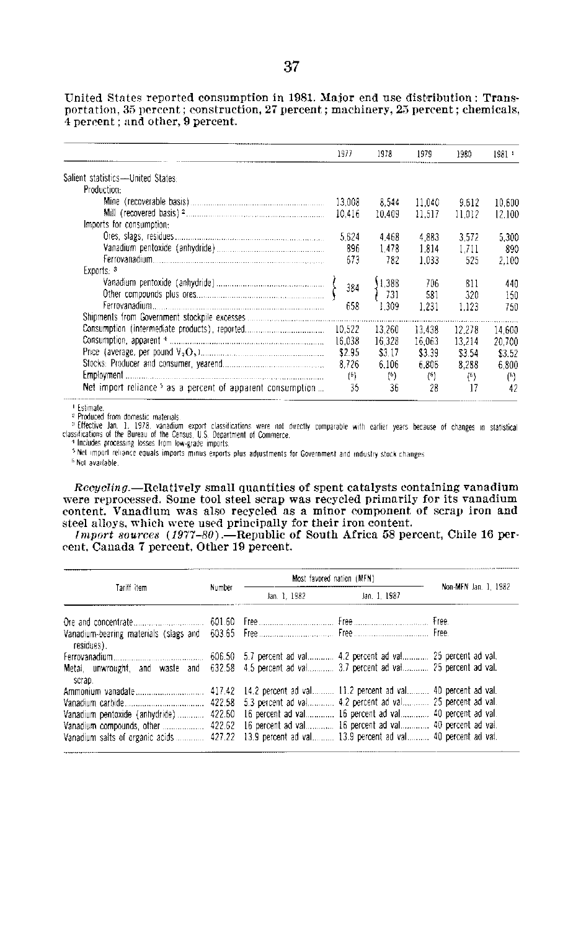1977 1978 1979 1980 1981 Salient statistics-United States: Production: M ine (recoverab le basis) **......................... ........................**  Mill (recovered basis) 2. Imports for consumption: O res, slags, residues **.................... ....... ........**  Vanadium pentoxide (anhydride) **...................................**  Ferrova na d iu m **........ ................. ....................... ............**  Exports: **3**  Vanadium pentoxide (anhydride) **.. ..............................**  Other com pounds plus **ores............ ...........................** . Ferrovanad ium **................................ .............**  Shipments from Government stockpile excesses **..... ..................**  Consumption (intermediate products), reported **......................**  Consumption, apparent <sup>4</sup> Price (average, per pound **V<sup>2</sup> 0.) O. - .. .. ...**  Stocks: Producer and consumer, yearend **..................**  E m p lo y m e n t **................ ...................................... ........ ...... .....**  Net import reliance  $5$  as a percent of apparent consumption  $\dots$ 13,008 8,544 11,040 9.612 10,600 10,416 10,409 11,517 11,012 12,100 5,624 4,468 4,883 3,572 5,300 896 1,478 1,814 1,711 890 673 782 1,033 525 2,100 384 **658**  10,522 16,038 **\$2.95**  8,726 **(6)**  35 1,388 731 **1,309**  13,260 16,328 \$3.17 6,106 **(6) 36 706** 811 440 581 320 150 1,231 1,123 **750** 13,438 16,063 \$3.39 6,806 **(2) 28** 12,278 13,214 \$3.54 8,288 **(16)**  17 14,600 20,700 \$3.52 6,800 **(6)**  42

United States reported consumption in **1981.** Major end use distribution: Trans portation, **35** percent; construction, **27** percent; machinery, **25** percent; chemicals, 4 percent; and other, **9** percent.

**I**Estimate.<br><sup>2</sup> Produced from domestic materials.

<sup>3</sup> Effective Jan. 1, 1978, vanadium export classifications were not directly comparable with earlier years because of changes in statistical<br>classifications of the Bureau of the Census, U.S. Department of Commerce.

4 Includes processing losses from low-grade imports

**I** Net import reliance equals imports minus exports plus adjustments for Government and industry stock changes

<sup>6</sup> Not available

Recycling.-Relatively small quantities of spent catalysts containing vanadium were reprocessed. Some tool steel scrap was recycled primarily for its vanadium content. Vanadium was also recycled as a minor component of scrap iron and steel alloys, which were used principally for their iron content.

*Import sources* (1977-80).—Republic of South Africa 58 percent, Chile 16 percent, Canada **7** percent, Other **19** percent.

|                                                                                                           |        | Most favored nation (MEN) |              |                      |  |
|-----------------------------------------------------------------------------------------------------------|--------|---------------------------|--------------|----------------------|--|
| Tariff item                                                                                               | Number | Jan. 1, 1982              | Jan. 1, 1987 | Non-MFN Jan. 1, 1982 |  |
|                                                                                                           |        |                           |              |                      |  |
| residues).                                                                                                |        |                           |              |                      |  |
|                                                                                                           |        |                           |              |                      |  |
| Metal, unwrought, and waste and 632.58 4.5 percent ad val 3.7 percent ad val 25 percent ad val.<br>scrap. |        |                           |              |                      |  |
|                                                                                                           |        |                           |              |                      |  |
|                                                                                                           |        |                           |              |                      |  |
| Vanadium pentoxide (anhydride)  422.60 16 percent ad val 16 percent ad val 40 percent ad val.             |        |                           |              |                      |  |
| Vanadium compounds, other  422.62 16 percent ad val 16 percent ad val 40 percent ad val.                  |        |                           |              |                      |  |
| Vanadium salts of organic acids 427.22 13.9 percent ad val 13.9 percent ad val 40 percent ad val.         |        |                           |              |                      |  |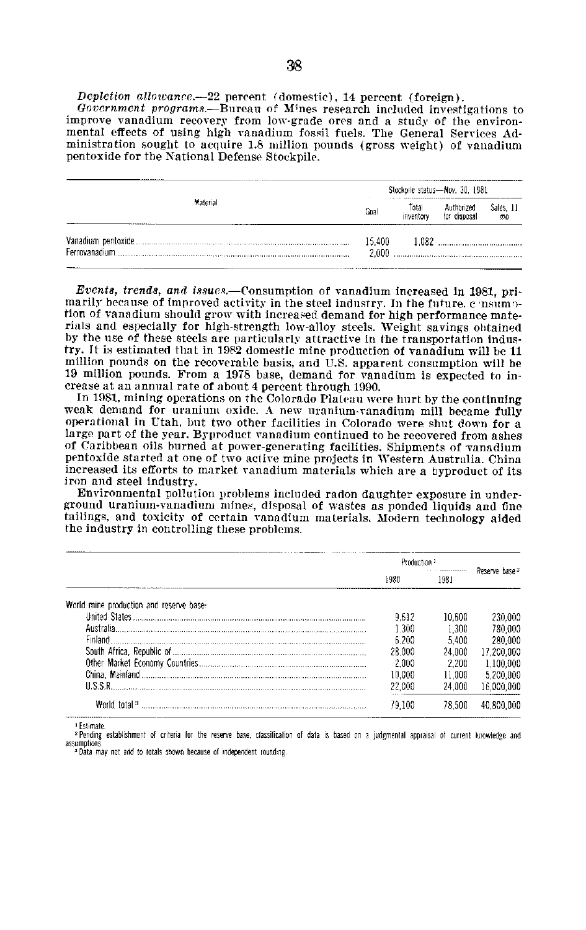Depletion allowance.-22 percent (domestic), 14 percent (foreign).

Government programs.—Bureau of Mines research included investigations to improve vanadium recovery from low-grade ores and a study of the environmental effects of using high vanadium fossil fuels. The General Services Administration sought to acquire 1.8 million pounds (gross weight) of vanadium pentoxide for the National Defense Stockpile.

|               |                 | Stockpile status-Nov. 30, 1981 |                            |                      |  |  |
|---------------|-----------------|--------------------------------|----------------------------|----------------------|--|--|
| Material      | Goal            | Total<br>inventory             | Authorized<br>for disposal | Sales, 11<br>$\pi$ 0 |  |  |
| Ferrovanadium | 15.400<br>2.000 |                                |                            |                      |  |  |

Events, trends, and issues.—Consumption of vanadium increased in 1981, primarily because of improved activity in the steel industry. In the future, cansumption of vanadium should grow with increased demand for high performance materials and especially for high-strength low-alloy steels. Weight savings obtained by the use of these steels are particularly attractive in the transportation industry. It is estimated that in 1982 domestic mine production of vanadium will be 11 million pounds on the recoverable basis, and U.S. apparent consumption will be 19 million pounds. From a 1978 base, demand for vanadium is expected to increase at an annual rate of about 4 percent through 1990.

In 1981, mining operations on the Colorado Plateau were hurt by the continuing weak demand for uranium oxide. A new uranium-vanadium mill became fully operational in Utah, but two other facilities in Colorado were shut down for a large part of the year. Byproduct vanadium continued to be recovered from ashes of Caribbean oils burned at power-generating facilities. Shipments of vanadium pentoxide started at one of two active mine projects in Western Australia. China increased its efforts to market vanadium materials which are a byproduct of its iron and steel industry.

Environmental pollution problems included radon daughter exposure in underground uranium-vanadium mines, disposal of wastes as ponded liquids and fine tailings, and toxicity of certain vanadium materials. Modern technology aided the industry in controlling these problems.

|                                         | Production 1 |        |                |
|-----------------------------------------|--------------|--------|----------------|
|                                         | 1980         | 1981   | Reserve base 2 |
| World mine production and reserve base: |              |        |                |
|                                         | 9.612        | 10.600 | 230,000        |
|                                         | 1.300        | 1.300  | 780.000        |
| Finland                                 | 6.200        | 5.400  | 280.000        |
|                                         | 28.000       | 24.000 | 17,200,000     |
|                                         | 2.000        | 2.200  | 1.100.000      |
|                                         | 10.000       | 11.000 | 5,200,000      |
|                                         | 22.000       | 24.000 | 16.000.000     |
| World total <sup>3</sup>                | 79 100       | 78.50D | oor            |

<sup>1</sup> Estimate

2 Pending establishment of criteria for the reserve base, classification of data is based on a judgmental appraisal of current knowledge and assumption <sup>3</sup> Data may not add to totals shown because of independent rounding.